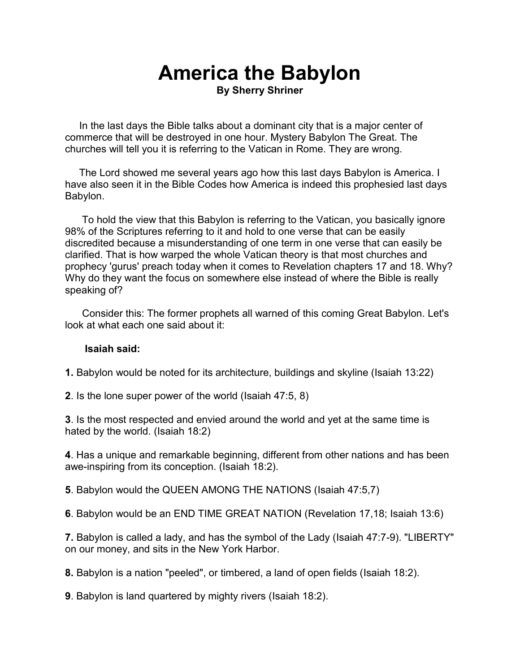#### **America the Babylon By Sherry Shriner**

 In the last days the Bible talks about a dominant city that is a major center of commerce that will be destroyed in one hour. Mystery Babylon The Great. The churches will tell you it is referring to the Vatican in Rome. They are wrong.

 The Lord showed me several years ago how this last days Babylon is America. I have also seen it in the Bible Codes how America is indeed this prophesied last days Babylon.

 To hold the view that this Babylon is referring to the Vatican, you basically ignore 98% of the Scriptures referring to it and hold to one verse that can be easily discredited because a misunderstanding of one term in one verse that can easily be clarified. That is how warped the whole Vatican theory is that most churches and prophecy 'gurus' preach today when it comes to Revelation chapters 17 and 18. Why? Why do they want the focus on somewhere else instead of where the Bible is really speaking of?

 Consider this: The former prophets all warned of this coming Great Babylon. Let's look at what each one said about it:

#### **Isaiah said:**

**1.** Babylon would be noted for its architecture, buildings and skyline (Isaiah 13:22)

**2**. Is the lone super power of the world (Isaiah 47:5, 8)

**3**. Is the most respected and envied around the world and yet at the same time is hated by the world. (Isaiah 18:2)

**4**. Has a unique and remarkable beginning, different from other nations and has been awe-inspiring from its conception. (Isaiah 18:2).

**5**. Babylon would the QUEEN AMONG THE NATIONS (Isaiah 47:5,7)

**6**. Babylon would be an END TIME GREAT NATION (Revelation 17,18; Isaiah 13:6)

**7.** Babylon is called a lady, and has the symbol of the Lady (Isaiah 47:7-9). "LIBERTY" on our money, and sits in the New York Harbor.

**8.** Babylon is a nation "peeled", or timbered, a land of open fields (Isaiah 18:2).

**9**. Babylon is land quartered by mighty rivers (Isaiah 18:2).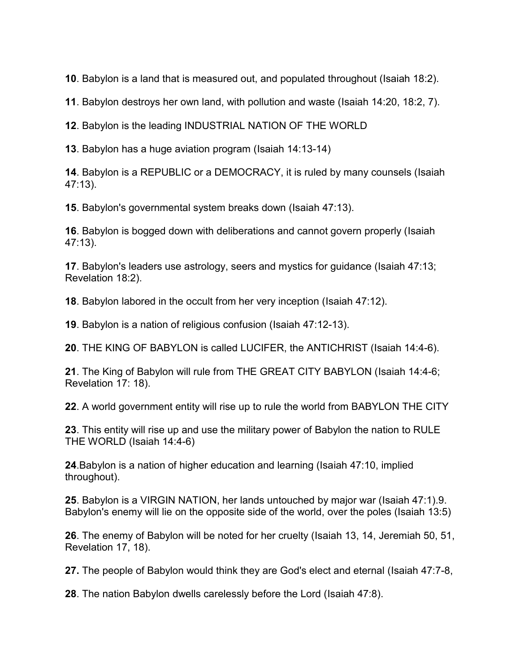. Babylon is a land that is measured out, and populated throughout (Isaiah 18:2).

. Babylon destroys her own land, with pollution and waste (Isaiah 14:20, 18:2, 7).

. Babylon is the leading INDUSTRIAL NATION OF THE WORLD

. Babylon has a huge aviation program (Isaiah 14:13-14)

. Babylon is a REPUBLIC or a DEMOCRACY, it is ruled by many counsels (Isaiah 47:13).

. Babylon's governmental system breaks down (Isaiah 47:13).

. Babylon is bogged down with deliberations and cannot govern properly (Isaiah 47:13).

. Babylon's leaders use astrology, seers and mystics for guidance (Isaiah 47:13; Revelation 18:2).

. Babylon labored in the occult from her very inception (Isaiah 47:12).

. Babylon is a nation of religious confusion (Isaiah 47:12-13).

. THE KING OF BABYLON is called LUCIFER, the ANTICHRIST (Isaiah 14:4-6).

. The King of Babylon will rule from THE GREAT CITY BABYLON (Isaiah 14:4-6; Revelation 17: 18).

. A world government entity will rise up to rule the world from BABYLON THE CITY

. This entity will rise up and use the military power of Babylon the nation to RULE THE WORLD (Isaiah 14:4-6)

.Babylon is a nation of higher education and learning (Isaiah 47:10, implied throughout).

. Babylon is a VIRGIN NATION, her lands untouched by major war (Isaiah 47:1).9. Babylon's enemy will lie on the opposite side of the world, over the poles (Isaiah 13:5)

. The enemy of Babylon will be noted for her cruelty (Isaiah 13, 14, Jeremiah 50, 51, Revelation 17, 18).

**27.** The people of Babylon would think they are God's elect and eternal (Isaiah 47:7-8,

. The nation Babylon dwells carelessly before the Lord (Isaiah 47:8).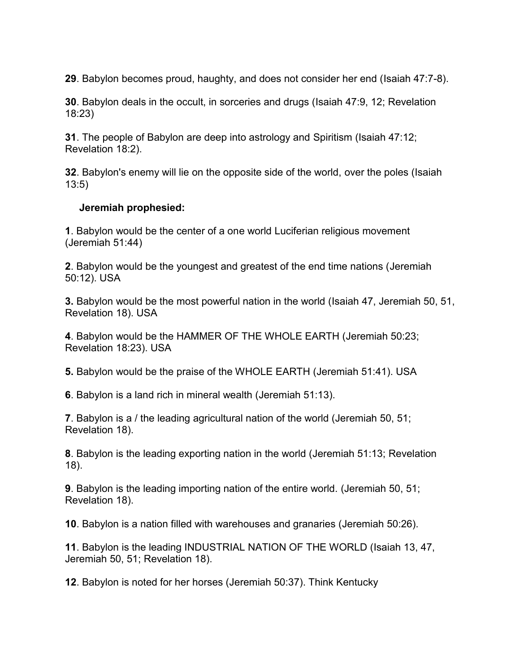**29**. Babylon becomes proud, haughty, and does not consider her end (Isaiah 47:7-8).

**30**. Babylon deals in the occult, in sorceries and drugs (Isaiah 47:9, 12; Revelation 18:23)

**31**. The people of Babylon are deep into astrology and Spiritism (Isaiah 47:12; Revelation 18:2).

**32**. Babylon's enemy will lie on the opposite side of the world, over the poles (Isaiah 13:5)

#### **Jeremiah prophesied:**

**1**. Babylon would be the center of a one world Luciferian religious movement (Jeremiah 51:44)

**2**. Babylon would be the youngest and greatest of the end time nations (Jeremiah 50:12). USA

**3.** Babylon would be the most powerful nation in the world (Isaiah 47, Jeremiah 50, 51, Revelation 18). USA

**4**. Babylon would be the HAMMER OF THE WHOLE EARTH (Jeremiah 50:23; Revelation 18:23). USA

**5.** Babylon would be the praise of the WHOLE EARTH (Jeremiah 51:41). USA

**6**. Babylon is a land rich in mineral wealth (Jeremiah 51:13).

**7**. Babylon is a / the leading agricultural nation of the world (Jeremiah 50, 51; Revelation 18).

**8**. Babylon is the leading exporting nation in the world (Jeremiah 51:13; Revelation 18).

**9**. Babylon is the leading importing nation of the entire world. (Jeremiah 50, 51; Revelation 18).

**10**. Babylon is a nation filled with warehouses and granaries (Jeremiah 50:26).

**11**. Babylon is the leading INDUSTRIAL NATION OF THE WORLD (Isaiah 13, 47, Jeremiah 50, 51; Revelation 18).

**12**. Babylon is noted for her horses (Jeremiah 50:37). Think Kentucky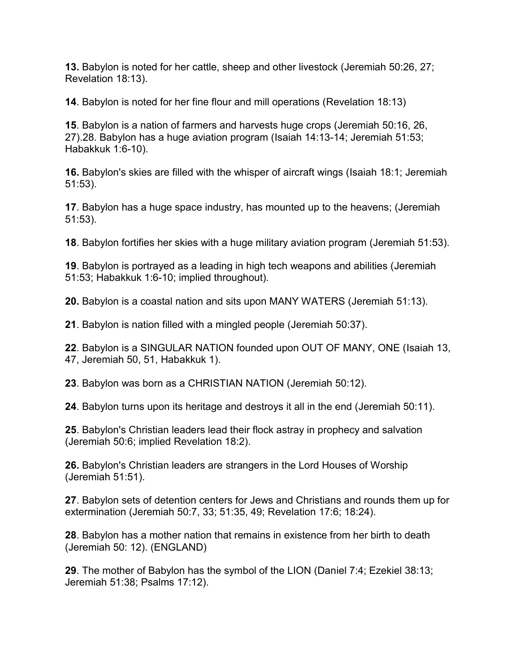**13.** Babylon is noted for her cattle, sheep and other livestock (Jeremiah 50:26, 27; Revelation 18:13).

**14**. Babylon is noted for her fine flour and mill operations (Revelation 18:13)

**15**. Babylon is a nation of farmers and harvests huge crops (Jeremiah 50:16, 26, 27).28. Babylon has a huge aviation program (Isaiah 14:13-14; Jeremiah 51:53; Habakkuk 1:6-10).

**16.** Babylon's skies are filled with the whisper of aircraft wings (Isaiah 18:1; Jeremiah 51:53).

**17**. Babylon has a huge space industry, has mounted up to the heavens; (Jeremiah 51:53).

**18**. Babylon fortifies her skies with a huge military aviation program (Jeremiah 51:53).

**19**. Babylon is portrayed as a leading in high tech weapons and abilities (Jeremiah 51:53; Habakkuk 1:6-10; implied throughout).

**20.** Babylon is a coastal nation and sits upon MANY WATERS (Jeremiah 51:13).

**21**. Babylon is nation filled with a mingled people (Jeremiah 50:37).

**22**. Babylon is a SINGULAR NATION founded upon OUT OF MANY, ONE (Isaiah 13, 47, Jeremiah 50, 51, Habakkuk 1).

**23**. Babylon was born as a CHRISTIAN NATION (Jeremiah 50:12).

**24**. Babylon turns upon its heritage and destroys it all in the end (Jeremiah 50:11).

**25**. Babylon's Christian leaders lead their flock astray in prophecy and salvation (Jeremiah 50:6; implied Revelation 18:2).

**26.** Babylon's Christian leaders are strangers in the Lord Houses of Worship (Jeremiah 51:51).

**27**. Babylon sets of detention centers for Jews and Christians and rounds them up for extermination (Jeremiah 50:7, 33; 51:35, 49; Revelation 17:6; 18:24).

**28**. Babylon has a mother nation that remains in existence from her birth to death (Jeremiah 50: 12). (ENGLAND)

**29**. The mother of Babylon has the symbol of the LION (Daniel 7:4; Ezekiel 38:13; Jeremiah 51:38; Psalms 17:12).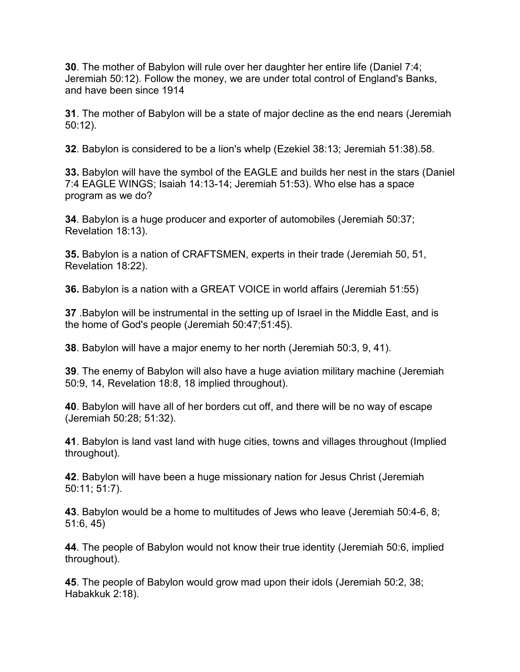**30**. The mother of Babylon will rule over her daughter her entire life (Daniel 7:4; Jeremiah 50:12). Follow the money, we are under total control of England's Banks, and have been since 1914

**31**. The mother of Babylon will be a state of major decline as the end nears (Jeremiah 50:12).

**32**. Babylon is considered to be a lion's whelp (Ezekiel 38:13; Jeremiah 51:38).58.

**33.** Babylon will have the symbol of the EAGLE and builds her nest in the stars (Daniel 7:4 EAGLE WINGS; Isaiah 14:13-14; Jeremiah 51:53). Who else has a space program as we do?

**34**. Babylon is a huge producer and exporter of automobiles (Jeremiah 50:37; Revelation 18:13).

**35.** Babylon is a nation of CRAFTSMEN, experts in their trade (Jeremiah 50, 51, Revelation 18:22).

**36.** Babylon is a nation with a GREAT VOICE in world affairs (Jeremiah 51:55)

**37** .Babylon will be instrumental in the setting up of Israel in the Middle East, and is the home of God's people (Jeremiah 50:47;51:45).

**38**. Babylon will have a major enemy to her north (Jeremiah 50:3, 9, 41).

**39**. The enemy of Babylon will also have a huge aviation military machine (Jeremiah 50:9, 14, Revelation 18:8, 18 implied throughout).

**40**. Babylon will have all of her borders cut off, and there will be no way of escape (Jeremiah 50:28; 51:32).

**41**. Babylon is land vast land with huge cities, towns and villages throughout (Implied throughout).

**42**. Babylon will have been a huge missionary nation for Jesus Christ (Jeremiah 50:11; 51:7).

**43**. Babylon would be a home to multitudes of Jews who leave (Jeremiah 50:4-6, 8; 51:6, 45)

**44**. The people of Babylon would not know their true identity (Jeremiah 50:6, implied throughout).

**45**. The people of Babylon would grow mad upon their idols (Jeremiah 50:2, 38; Habakkuk 2:18).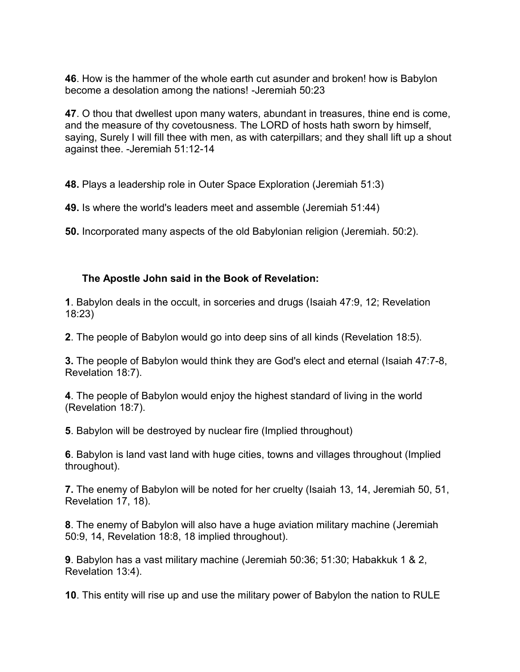**46**. How is the hammer of the whole earth cut asunder and broken! how is Babylon become a desolation among the nations! -Jeremiah 50:23

**47**. O thou that dwellest upon many waters, abundant in treasures, thine end is come, and the measure of thy covetousness. The LORD of hosts hath sworn by himself, saying, Surely I will fill thee with men, as with caterpillars; and they shall lift up a shout against thee. -Jeremiah 51:12-14

**48.** Plays a leadership role in Outer Space Exploration (Jeremiah 51:3)

**49.** Is where the world's leaders meet and assemble (Jeremiah 51:44)

**50.** Incorporated many aspects of the old Babylonian religion (Jeremiah. 50:2).

#### **The Apostle John said in the Book of Revelation:**

**1**. Babylon deals in the occult, in sorceries and drugs (Isaiah 47:9, 12; Revelation 18:23)

**2**. The people of Babylon would go into deep sins of all kinds (Revelation 18:5).

**3.** The people of Babylon would think they are God's elect and eternal (Isaiah 47:7-8, Revelation 18:7).

**4**. The people of Babylon would enjoy the highest standard of living in the world (Revelation 18:7).

**5**. Babylon will be destroyed by nuclear fire (Implied throughout)

**6**. Babylon is land vast land with huge cities, towns and villages throughout (Implied throughout).

**7.** The enemy of Babylon will be noted for her cruelty (Isaiah 13, 14, Jeremiah 50, 51, Revelation 17, 18).

**8**. The enemy of Babylon will also have a huge aviation military machine (Jeremiah 50:9, 14, Revelation 18:8, 18 implied throughout).

**9**. Babylon has a vast military machine (Jeremiah 50:36; 51:30; Habakkuk 1 & 2, Revelation 13:4).

**10**. This entity will rise up and use the military power of Babylon the nation to RULE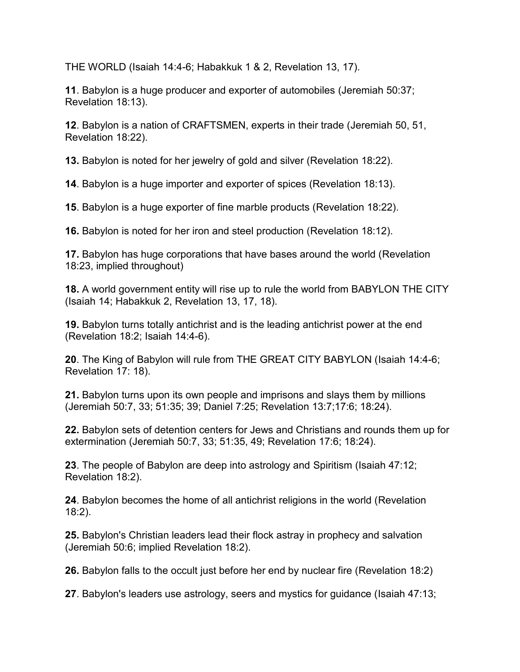THE WORLD (Isaiah 14:4-6; Habakkuk 1 & 2, Revelation 13, 17).

**11**. Babylon is a huge producer and exporter of automobiles (Jeremiah 50:37; Revelation 18:13).

**12**. Babylon is a nation of CRAFTSMEN, experts in their trade (Jeremiah 50, 51, Revelation 18:22).

**13.** Babylon is noted for her jewelry of gold and silver (Revelation 18:22).

**14**. Babylon is a huge importer and exporter of spices (Revelation 18:13).

**15**. Babylon is a huge exporter of fine marble products (Revelation 18:22).

**16.** Babylon is noted for her iron and steel production (Revelation 18:12).

**17.** Babylon has huge corporations that have bases around the world (Revelation 18:23, implied throughout)

**18.** A world government entity will rise up to rule the world from BABYLON THE CITY (Isaiah 14; Habakkuk 2, Revelation 13, 17, 18).

**19.** Babylon turns totally antichrist and is the leading antichrist power at the end (Revelation 18:2; Isaiah 14:4-6).

**20**. The King of Babylon will rule from THE GREAT CITY BABYLON (Isaiah 14:4-6; Revelation 17: 18).

**21.** Babylon turns upon its own people and imprisons and slays them by millions (Jeremiah 50:7, 33; 51:35; 39; Daniel 7:25; Revelation 13:7;17:6; 18:24).

**22.** Babylon sets of detention centers for Jews and Christians and rounds them up for extermination (Jeremiah 50:7, 33; 51:35, 49; Revelation 17:6; 18:24).

**23**. The people of Babylon are deep into astrology and Spiritism (Isaiah 47:12; Revelation 18:2).

**24**. Babylon becomes the home of all antichrist religions in the world (Revelation 18:2).

**25.** Babylon's Christian leaders lead their flock astray in prophecy and salvation (Jeremiah 50:6; implied Revelation 18:2).

**26.** Babylon falls to the occult just before her end by nuclear fire (Revelation 18:2)

**27**. Babylon's leaders use astrology, seers and mystics for guidance (Isaiah 47:13;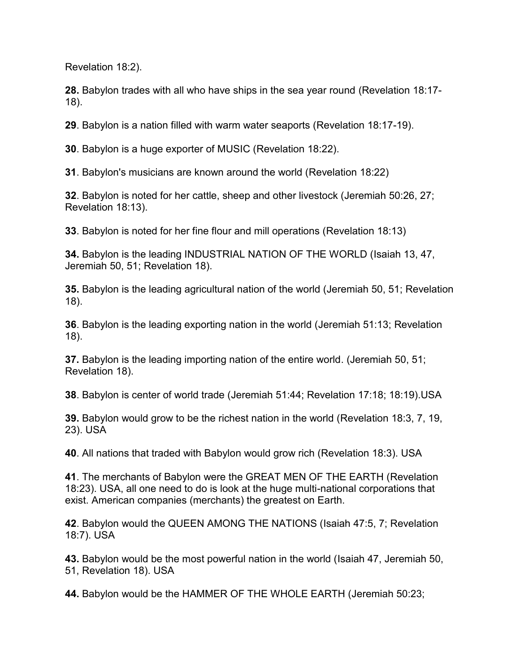Revelation 18:2).

**28.** Babylon trades with all who have ships in the sea year round (Revelation 18:17- 18).

**29**. Babylon is a nation filled with warm water seaports (Revelation 18:17-19).

**30**. Babylon is a huge exporter of MUSIC (Revelation 18:22).

**31**. Babylon's musicians are known around the world (Revelation 18:22)

**32**. Babylon is noted for her cattle, sheep and other livestock (Jeremiah 50:26, 27; Revelation 18:13).

**33**. Babylon is noted for her fine flour and mill operations (Revelation 18:13)

**34.** Babylon is the leading INDUSTRIAL NATION OF THE WORLD (Isaiah 13, 47, Jeremiah 50, 51; Revelation 18).

**35.** Babylon is the leading agricultural nation of the world (Jeremiah 50, 51; Revelation 18).

**36**. Babylon is the leading exporting nation in the world (Jeremiah 51:13; Revelation 18).

**37.** Babylon is the leading importing nation of the entire world. (Jeremiah 50, 51; Revelation 18).

**38**. Babylon is center of world trade (Jeremiah 51:44; Revelation 17:18; 18:19).USA

**39.** Babylon would grow to be the richest nation in the world (Revelation 18:3, 7, 19, 23). USA

**40**. All nations that traded with Babylon would grow rich (Revelation 18:3). USA

**41**. The merchants of Babylon were the GREAT MEN OF THE EARTH (Revelation 18:23). USA, all one need to do is look at the huge multi-national corporations that exist. American companies (merchants) the greatest on Earth.

**42**. Babylon would the QUEEN AMONG THE NATIONS (Isaiah 47:5, 7; Revelation 18:7). USA

**43.** Babylon would be the most powerful nation in the world (Isaiah 47, Jeremiah 50, 51, Revelation 18). USA

**44.** Babylon would be the HAMMER OF THE WHOLE EARTH (Jeremiah 50:23;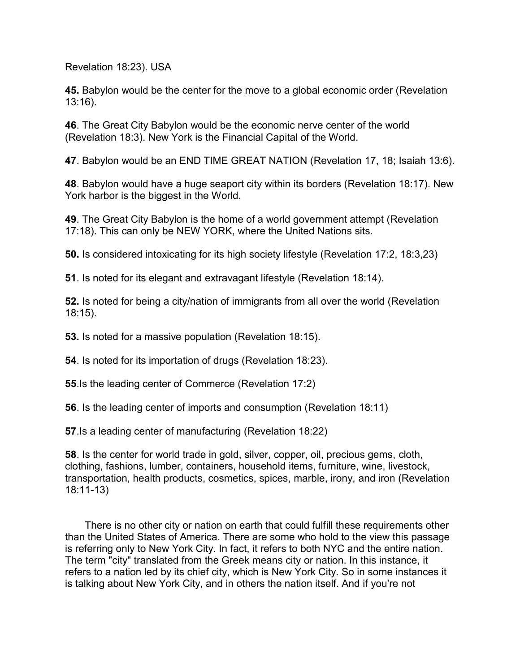Revelation 18:23). USA

**45.** Babylon would be the center for the move to a global economic order (Revelation 13:16).

**46**. The Great City Babylon would be the economic nerve center of the world (Revelation 18:3). New York is the Financial Capital of the World.

**47**. Babylon would be an END TIME GREAT NATION (Revelation 17, 18; Isaiah 13:6).

**48**. Babylon would have a huge seaport city within its borders (Revelation 18:17). New York harbor is the biggest in the World.

**49**. The Great City Babylon is the home of a world government attempt (Revelation 17:18). This can only be NEW YORK, where the United Nations sits.

**50.** Is considered intoxicating for its high society lifestyle (Revelation 17:2, 18:3,23)

**51**. Is noted for its elegant and extravagant lifestyle (Revelation 18:14).

**52.** Is noted for being a city/nation of immigrants from all over the world (Revelation 18:15).

**53.** Is noted for a massive population (Revelation 18:15).

**54**. Is noted for its importation of drugs (Revelation 18:23).

**55**.Is the leading center of Commerce (Revelation 17:2)

**56**. Is the leading center of imports and consumption (Revelation 18:11)

**57**.Is a leading center of manufacturing (Revelation 18:22)

**58**. Is the center for world trade in gold, silver, copper, oil, precious gems, cloth, clothing, fashions, lumber, containers, household items, furniture, wine, livestock, transportation, health products, cosmetics, spices, marble, irony, and iron (Revelation 18:11-13)

 There is no other city or nation on earth that could fulfill these requirements other than the United States of America. There are some who hold to the view this passage is referring only to New York City. In fact, it refers to both NYC and the entire nation. The term "city" translated from the Greek means city or nation. In this instance, it refers to a nation led by its chief city, which is New York City. So in some instances it is talking about New York City, and in others the nation itself. And if you're not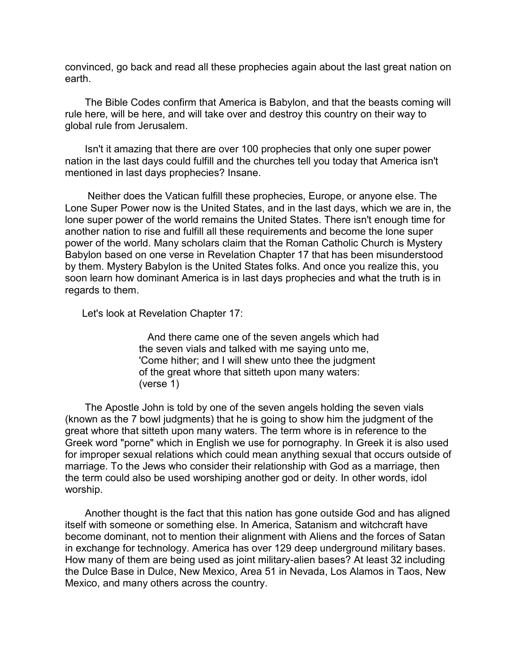convinced, go back and read all these prophecies again about the last great nation on earth.

 The Bible Codes confirm that America is Babylon, and that the beasts coming will rule here, will be here, and will take over and destroy this country on their way to global rule from Jerusalem.

 Isn't it amazing that there are over 100 prophecies that only one super power nation in the last days could fulfill and the churches tell you today that America isn't mentioned in last days prophecies? Insane.

 Neither does the Vatican fulfill these prophecies, Europe, or anyone else. The Lone Super Power now is the United States, and in the last days, which we are in, the lone super power of the world remains the United States. There isn't enough time for another nation to rise and fulfill all these requirements and become the lone super power of the world. Many scholars claim that the Roman Catholic Church is Mystery Babylon based on one verse in Revelation Chapter 17 that has been misunderstood by them. Mystery Babylon is the United States folks. And once you realize this, you soon learn how dominant America is in last days prophecies and what the truth is in regards to them.

Let's look at Revelation Chapter 17:

 And there came one of the seven angels which had the seven vials and talked with me saying unto me, 'Come hither; and I will shew unto thee the judgment of the great whore that sitteth upon many waters: (verse 1)

 The Apostle John is told by one of the seven angels holding the seven vials (known as the 7 bowl judgments) that he is going to show him the judgment of the great whore that sitteth upon many waters. The term whore is in reference to the Greek word "porne" which in English we use for pornography. In Greek it is also used for improper sexual relations which could mean anything sexual that occurs outside of marriage. To the Jews who consider their relationship with God as a marriage, then the term could also be used worshiping another god or deity. In other words, idol worship.

 Another thought is the fact that this nation has gone outside God and has aligned itself with someone or something else. In America, Satanism and witchcraft have become dominant, not to mention their alignment with Aliens and the forces of Satan in exchange for technology. America has over 129 deep underground military bases. How many of them are being used as joint military-alien bases? At least 32 including the Dulce Base in Dulce, New Mexico, Area 51 in Nevada, Los Alamos in Taos, New Mexico, and many others across the country.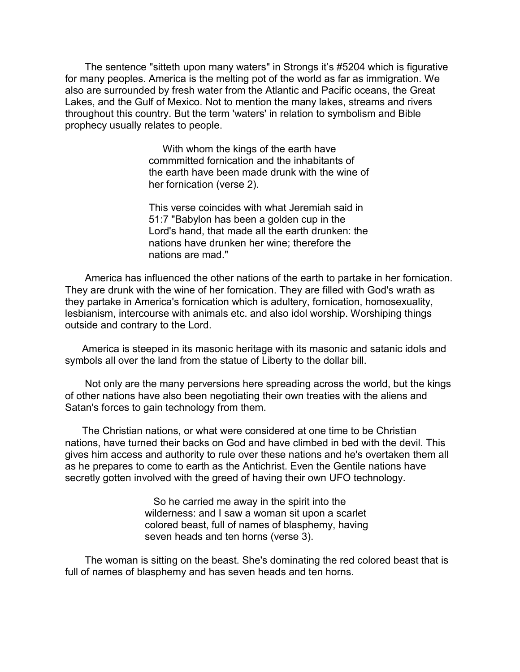The sentence "sitteth upon many waters" in Strongs it's #5204 which is figurative for many peoples. America is the melting pot of the world as far as immigration. We also are surrounded by fresh water from the Atlantic and Pacific oceans, the Great Lakes, and the Gulf of Mexico. Not to mention the many lakes, streams and rivers throughout this country. But the term 'waters' in relation to symbolism and Bible prophecy usually relates to people.

> With whom the kings of the earth have commmitted fornication and the inhabitants of the earth have been made drunk with the wine of her fornication (verse 2).

> This verse coincides with what Jeremiah said in 51:7 "Babylon has been a golden cup in the Lord's hand, that made all the earth drunken: the nations have drunken her wine; therefore the nations are mad."

 America has influenced the other nations of the earth to partake in her fornication. They are drunk with the wine of her fornication. They are filled with God's wrath as they partake in America's fornication which is adultery, fornication, homosexuality, lesbianism, intercourse with animals etc. and also idol worship. Worshiping things outside and contrary to the Lord.

 America is steeped in its masonic heritage with its masonic and satanic idols and symbols all over the land from the statue of Liberty to the dollar bill.

 Not only are the many perversions here spreading across the world, but the kings of other nations have also been negotiating their own treaties with the aliens and Satan's forces to gain technology from them.

 The Christian nations, or what were considered at one time to be Christian nations, have turned their backs on God and have climbed in bed with the devil. This gives him access and authority to rule over these nations and he's overtaken them all as he prepares to come to earth as the Antichrist. Even the Gentile nations have secretly gotten involved with the greed of having their own UFO technology.

> So he carried me away in the spirit into the wilderness: and I saw a woman sit upon a scarlet colored beast, full of names of blasphemy, having seven heads and ten horns (verse 3).

 The woman is sitting on the beast. She's dominating the red colored beast that is full of names of blasphemy and has seven heads and ten horns.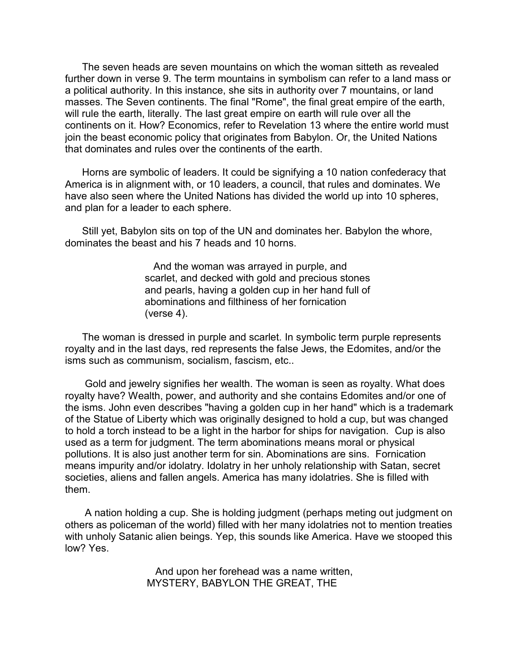The seven heads are seven mountains on which the woman sitteth as revealed further down in verse 9. The term mountains in symbolism can refer to a land mass or a political authority. In this instance, she sits in authority over 7 mountains, or land masses. The Seven continents. The final "Rome", the final great empire of the earth, will rule the earth, literally. The last great empire on earth will rule over all the continents on it. How? Economics, refer to Revelation 13 where the entire world must join the beast economic policy that originates from Babylon. Or, the United Nations that dominates and rules over the continents of the earth.

 Horns are symbolic of leaders. It could be signifying a 10 nation confederacy that America is in alignment with, or 10 leaders, a council, that rules and dominates. We have also seen where the United Nations has divided the world up into 10 spheres, and plan for a leader to each sphere.

 Still yet, Babylon sits on top of the UN and dominates her. Babylon the whore, dominates the beast and his 7 heads and 10 horns.

> And the woman was arrayed in purple, and scarlet, and decked with gold and precious stones and pearls, having a golden cup in her hand full of abominations and filthiness of her fornication (verse 4).

 The woman is dressed in purple and scarlet. In symbolic term purple represents royalty and in the last days, red represents the false Jews, the Edomites, and/or the isms such as communism, socialism, fascism, etc..

 Gold and jewelry signifies her wealth. The woman is seen as royalty. What does royalty have? Wealth, power, and authority and she contains Edomites and/or one of the isms. John even describes "having a golden cup in her hand" which is a trademark of the Statue of Liberty which was originally designed to hold a cup, but was changed to hold a torch instead to be a light in the harbor for ships for navigation. Cup is also used as a term for judgment. The term abominations means moral or physical pollutions. It is also just another term for sin. Abominations are sins. Fornication means impurity and/or idolatry. Idolatry in her unholy relationship with Satan, secret societies, aliens and fallen angels. America has many idolatries. She is filled with them.

 A nation holding a cup. She is holding judgment (perhaps meting out judgment on others as policeman of the world) filled with her many idolatries not to mention treaties with unholy Satanic alien beings. Yep, this sounds like America. Have we stooped this low? Yes.

> And upon her forehead was a name written, MYSTERY, BABYLON THE GREAT, THE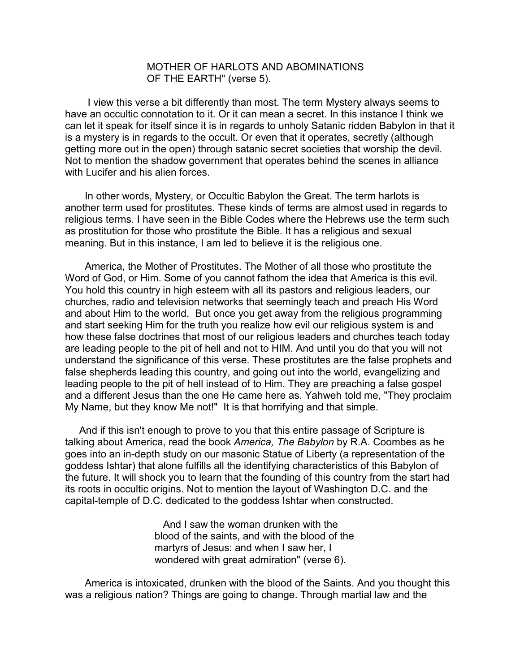#### MOTHER OF HARLOTS AND ABOMINATIONS OF THE EARTH" (verse 5).

 I view this verse a bit differently than most. The term Mystery always seems to have an occultic connotation to it. Or it can mean a secret. In this instance I think we can let it speak for itself since it is in regards to unholy Satanic ridden Babylon in that it is a mystery is in regards to the occult. Or even that it operates, secretly (although getting more out in the open) through satanic secret societies that worship the devil. Not to mention the shadow government that operates behind the scenes in alliance with Lucifer and his alien forces.

 In other words, Mystery, or Occultic Babylon the Great. The term harlots is another term used for prostitutes. These kinds of terms are almost used in regards to religious terms. I have seen in the Bible Codes where the Hebrews use the term such as prostitution for those who prostitute the Bible. It has a religious and sexual meaning. But in this instance, I am led to believe it is the religious one.

 America, the Mother of Prostitutes. The Mother of all those who prostitute the Word of God, or Him. Some of you cannot fathom the idea that America is this evil. You hold this country in high esteem with all its pastors and religious leaders, our churches, radio and television networks that seemingly teach and preach His Word and about Him to the world. But once you get away from the religious programming and start seeking Him for the truth you realize how evil our religious system is and how these false doctrines that most of our religious leaders and churches teach today are leading people to the pit of hell and not to HIM. And until you do that you will not understand the significance of this verse. These prostitutes are the false prophets and false shepherds leading this country, and going out into the world, evangelizing and leading people to the pit of hell instead of to Him. They are preaching a false gospel and a different Jesus than the one He came here as. Yahweh told me, "They proclaim My Name, but they know Me not!" It is that horrifying and that simple.

 And if this isn't enough to prove to you that this entire passage of Scripture is talking about America, read the book *America, The Babylon* by R.A. Coombes as he goes into an in-depth study on our masonic Statue of Liberty (a representation of the goddess Ishtar) that alone fulfills all the identifying characteristics of this Babylon of the future. It will shock you to learn that the founding of this country from the start had its roots in occultic origins. Not to mention the layout of Washington D.C. and the capital-temple of D.C. dedicated to the goddess Ishtar when constructed.

> And I saw the woman drunken with the blood of the saints, and with the blood of the martyrs of Jesus: and when I saw her, I wondered with great admiration" (verse 6).

 America is intoxicated, drunken with the blood of the Saints. And you thought this was a religious nation? Things are going to change. Through martial law and the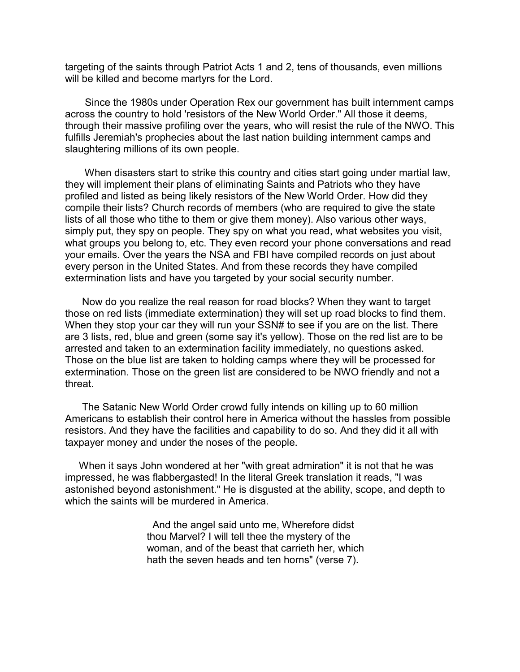targeting of the saints through Patriot Acts 1 and 2, tens of thousands, even millions will be killed and become martyrs for the Lord.

 Since the 1980s under Operation Rex our government has built internment camps across the country to hold 'resistors of the New World Order." All those it deems, through their massive profiling over the years, who will resist the rule of the NWO. This fulfills Jeremiah's prophecies about the last nation building internment camps and slaughtering millions of its own people.

 When disasters start to strike this country and cities start going under martial law, they will implement their plans of eliminating Saints and Patriots who they have profiled and listed as being likely resistors of the New World Order. How did they compile their lists? Church records of members (who are required to give the state lists of all those who tithe to them or give them money). Also various other ways, simply put, they spy on people. They spy on what you read, what websites you visit, what groups you belong to, etc. They even record your phone conversations and read your emails. Over the years the NSA and FBI have compiled records on just about every person in the United States. And from these records they have compiled extermination lists and have you targeted by your social security number.

 Now do you realize the real reason for road blocks? When they want to target those on red lists (immediate extermination) they will set up road blocks to find them. When they stop your car they will run your SSN# to see if you are on the list. There are 3 lists, red, blue and green (some say it's yellow). Those on the red list are to be arrested and taken to an extermination facility immediately, no questions asked. Those on the blue list are taken to holding camps where they will be processed for extermination. Those on the green list are considered to be NWO friendly and not a threat.

 The Satanic New World Order crowd fully intends on killing up to 60 million Americans to establish their control here in America without the hassles from possible resistors. And they have the facilities and capability to do so. And they did it all with taxpayer money and under the noses of the people.

 When it says John wondered at her "with great admiration" it is not that he was impressed, he was flabbergasted! In the literal Greek translation it reads, "I was astonished beyond astonishment." He is disgusted at the ability, scope, and depth to which the saints will be murdered in America.

> And the angel said unto me, Wherefore didst thou Marvel? I will tell thee the mystery of the woman, and of the beast that carrieth her, which hath the seven heads and ten horns" (verse 7).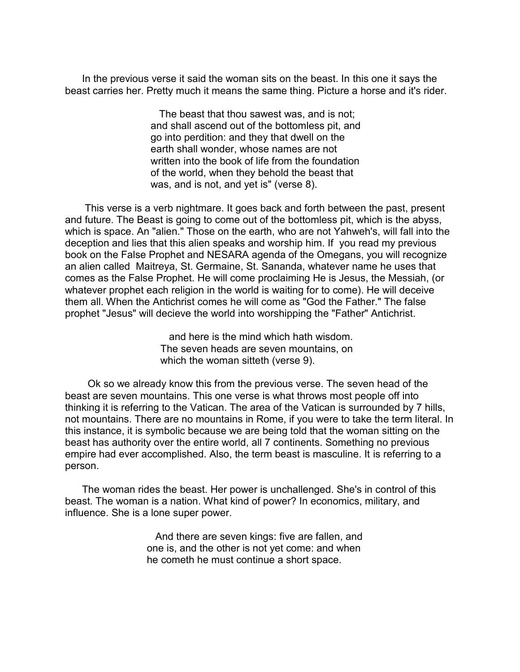In the previous verse it said the woman sits on the beast. In this one it says the beast carries her. Pretty much it means the same thing. Picture a horse and it's rider.

> The beast that thou sawest was, and is not; and shall ascend out of the bottomless pit, and go into perdition: and they that dwell on the earth shall wonder, whose names are not written into the book of life from the foundation of the world, when they behold the beast that was, and is not, and yet is" (verse 8).

 This verse is a verb nightmare. It goes back and forth between the past, present and future. The Beast is going to come out of the bottomless pit, which is the abyss, which is space. An "alien." Those on the earth, who are not Yahweh's, will fall into the deception and lies that this alien speaks and worship him. If you read my previous book on the False Prophet and NESARA agenda of the Omegans, you will recognize an alien called Maitreya, St. Germaine, St. Sananda, whatever name he uses that comes as the False Prophet. He will come proclaiming He is Jesus, the Messiah, (or whatever prophet each religion in the world is waiting for to come). He will deceive them all. When the Antichrist comes he will come as "God the Father." The false prophet "Jesus" will decieve the world into worshipping the "Father" Antichrist.

> and here is the mind which hath wisdom. The seven heads are seven mountains, on which the woman sitteth (verse 9).

 Ok so we already know this from the previous verse. The seven head of the beast are seven mountains. This one verse is what throws most people off into thinking it is referring to the Vatican. The area of the Vatican is surrounded by 7 hills, not mountains. There are no mountains in Rome, if you were to take the term literal. In this instance, it is symbolic because we are being told that the woman sitting on the beast has authority over the entire world, all 7 continents. Something no previous empire had ever accomplished. Also, the term beast is masculine. It is referring to a person.

 The woman rides the beast. Her power is unchallenged. She's in control of this beast. The woman is a nation. What kind of power? In economics, military, and influence. She is a lone super power.

> And there are seven kings: five are fallen, and one is, and the other is not yet come: and when he cometh he must continue a short space.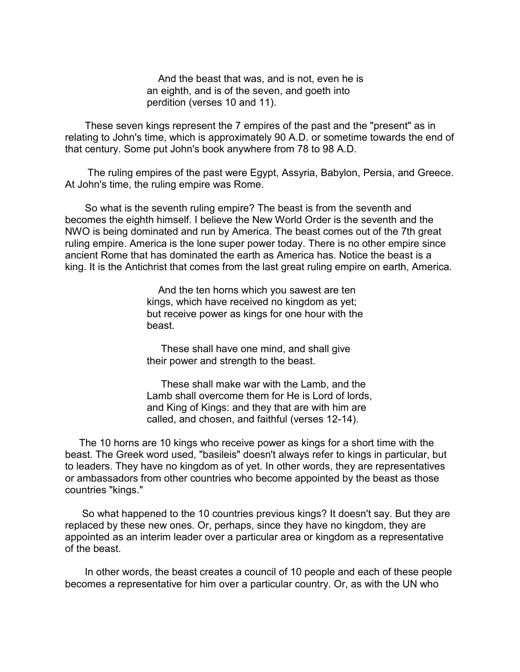And the beast that was, and is not, even he is an eighth, and is of the seven, and goeth into perdition (verses 10 and 11).

 These seven kings represent the 7 empires of the past and the "present" as in relating to John's time, which is approximately 90 A.D. or sometime towards the end of that century. Some put John's book anywhere from 78 to 98 A.D.

 The ruling empires of the past were Egypt, Assyria, Babylon, Persia, and Greece. At John's time, the ruling empire was Rome.

 So what is the seventh ruling empire? The beast is from the seventh and becomes the eighth himself. I believe the New World Order is the seventh and the NWO is being dominated and run by America. The beast comes out of the 7th great ruling empire. America is the lone super power today. There is no other empire since ancient Rome that has dominated the earth as America has. Notice the beast is a king. It is the Antichrist that comes from the last great ruling empire on earth, America.

> And the ten horns which you sawest are ten kings, which have received no kingdom as yet; but receive power as kings for one hour with the beast.

 These shall have one mind, and shall give their power and strength to the beast.

 These shall make war with the Lamb, and the Lamb shall overcome them for He is Lord of lords, and King of Kings: and they that are with him are called, and chosen, and faithful (verses 12-14).

 The 10 horns are 10 kings who receive power as kings for a short time with the beast. The Greek word used, "basileis" doesn't always refer to kings in particular, but to leaders. They have no kingdom as of yet. In other words, they are representatives or ambassadors from other countries who become appointed by the beast as those countries "kings."

 So what happened to the 10 countries previous kings? It doesn't say. But they are replaced by these new ones. Or, perhaps, since they have no kingdom, they are appointed as an interim leader over a particular area or kingdom as a representative of the beast.

 In other words, the beast creates a council of 10 people and each of these people becomes a representative for him over a particular country. Or, as with the UN who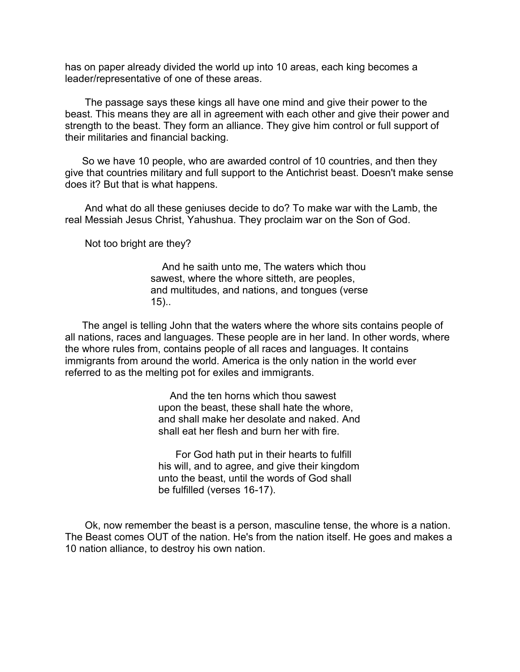has on paper already divided the world up into 10 areas, each king becomes a leader/representative of one of these areas.

 The passage says these kings all have one mind and give their power to the beast. This means they are all in agreement with each other and give their power and strength to the beast. They form an alliance. They give him control or full support of their militaries and financial backing.

 So we have 10 people, who are awarded control of 10 countries, and then they give that countries military and full support to the Antichrist beast. Doesn't make sense does it? But that is what happens.

 And what do all these geniuses decide to do? To make war with the Lamb, the real Messiah Jesus Christ, Yahushua. They proclaim war on the Son of God.

Not too bright are they?

 And he saith unto me, The waters which thou sawest, where the whore sitteth, are peoples, and multitudes, and nations, and tongues (verse 15)..

 The angel is telling John that the waters where the whore sits contains people of all nations, races and languages. These people are in her land. In other words, where the whore rules from, contains people of all races and languages. It contains immigrants from around the world. America is the only nation in the world ever referred to as the melting pot for exiles and immigrants.

> And the ten horns which thou sawest upon the beast, these shall hate the whore, and shall make her desolate and naked. And shall eat her flesh and burn her with fire.

> For God hath put in their hearts to fulfill his will, and to agree, and give their kingdom unto the beast, until the words of God shall be fulfilled (verses 16-17).

 Ok, now remember the beast is a person, masculine tense, the whore is a nation. The Beast comes OUT of the nation. He's from the nation itself. He goes and makes a 10 nation alliance, to destroy his own nation.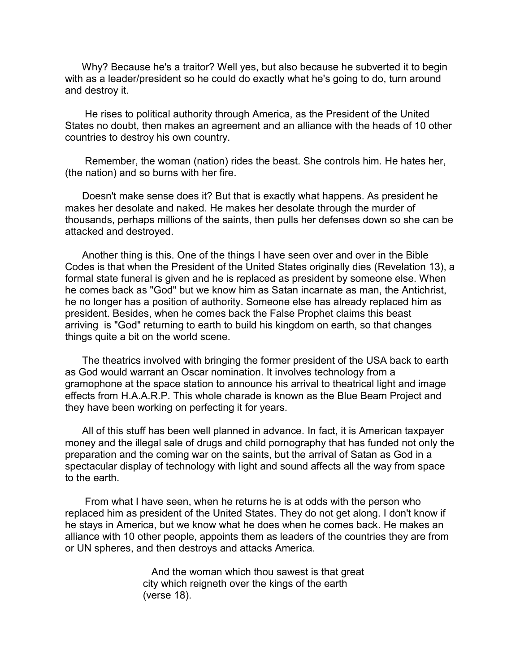Why? Because he's a traitor? Well yes, but also because he subverted it to begin with as a leader/president so he could do exactly what he's going to do, turn around and destroy it.

 He rises to political authority through America, as the President of the United States no doubt, then makes an agreement and an alliance with the heads of 10 other countries to destroy his own country.

 Remember, the woman (nation) rides the beast. She controls him. He hates her, (the nation) and so burns with her fire.

 Doesn't make sense does it? But that is exactly what happens. As president he makes her desolate and naked. He makes her desolate through the murder of thousands, perhaps millions of the saints, then pulls her defenses down so she can be attacked and destroyed.

 Another thing is this. One of the things I have seen over and over in the Bible Codes is that when the President of the United States originally dies (Revelation 13), a formal state funeral is given and he is replaced as president by someone else. When he comes back as "God" but we know him as Satan incarnate as man, the Antichrist, he no longer has a position of authority. Someone else has already replaced him as president. Besides, when he comes back the False Prophet claims this beast arriving is "God" returning to earth to build his kingdom on earth, so that changes things quite a bit on the world scene.

 The theatrics involved with bringing the former president of the USA back to earth as God would warrant an Oscar nomination. It involves technology from a gramophone at the space station to announce his arrival to theatrical light and image effects from H.A.A.R.P. This whole charade is known as the Blue Beam Project and they have been working on perfecting it for years.

 All of this stuff has been well planned in advance. In fact, it is American taxpayer money and the illegal sale of drugs and child pornography that has funded not only the preparation and the coming war on the saints, but the arrival of Satan as God in a spectacular display of technology with light and sound affects all the way from space to the earth

 From what I have seen, when he returns he is at odds with the person who replaced him as president of the United States. They do not get along. I don't know if he stays in America, but we know what he does when he comes back. He makes an alliance with 10 other people, appoints them as leaders of the countries they are from or UN spheres, and then destroys and attacks America.

> And the woman which thou sawest is that great city which reigneth over the kings of the earth (verse 18).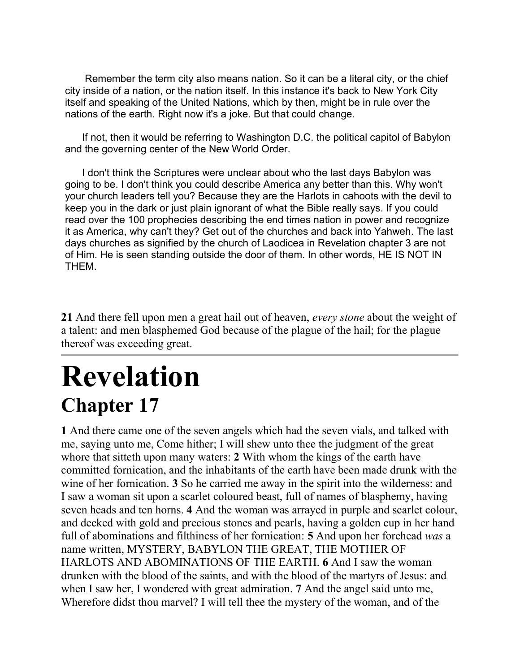Remember the term city also means nation. So it can be a literal city, or the chief city inside of a nation, or the nation itself. In this instance it's back to New York City itself and speaking of the United Nations, which by then, might be in rule over the nations of the earth. Right now it's a joke. But that could change.

 If not, then it would be referring to Washington D.C. the political capitol of Babylon and the governing center of the New World Order.

 I don't think the Scriptures were unclear about who the last days Babylon was going to be. I don't think you could describe America any better than this. Why won't your church leaders tell you? Because they are the Harlots in cahoots with the devil to keep you in the dark or just plain ignorant of what the Bible really says. If you could read over the 100 prophecies describing the end times nation in power and recognize it as America, why can't they? Get out of the churches and back into Yahweh. The last days churches as signified by the church of Laodicea in Revelation chapter 3 are not of Him. He is seen standing outside the door of them. In other words, HE IS NOT IN THEM.

**21** And there fell upon men a great hail out of heaven, *every stone* about the weight of a talent: and men blasphemed God because of the plague of the hail; for the plague thereof was exceeding great.

# **Revelation Chapter 17**

**1** And there came one of the seven angels which had the seven vials, and talked with me, saying unto me, Come hither; I will shew unto thee the judgment of the great whore that sitteth upon many waters: **2** With whom the kings of the earth have committed fornication, and the inhabitants of the earth have been made drunk with the wine of her fornication. **3** So he carried me away in the spirit into the wilderness: and I saw a woman sit upon a scarlet coloured beast, full of names of blasphemy, having seven heads and ten horns. **4** And the woman was arrayed in purple and scarlet colour, and decked with gold and precious stones and pearls, having a golden cup in her hand full of abominations and filthiness of her fornication: **5** And upon her forehead *was* a name written, MYSTERY, BABYLON THE GREAT, THE MOTHER OF HARLOTS AND ABOMINATIONS OF THE EARTH. **6** And I saw the woman drunken with the blood of the saints, and with the blood of the martyrs of Jesus: and when I saw her, I wondered with great admiration. **7** And the angel said unto me, Wherefore didst thou marvel? I will tell thee the mystery of the woman, and of the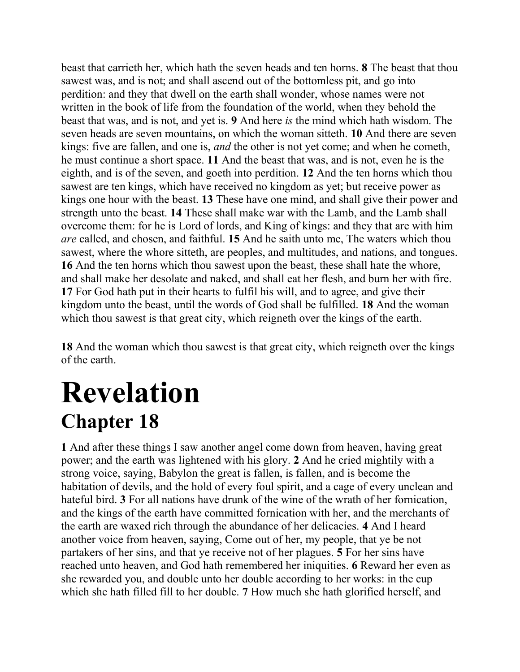beast that carrieth her, which hath the seven heads and ten horns. **8** The beast that thou sawest was, and is not; and shall ascend out of the bottomless pit, and go into perdition: and they that dwell on the earth shall wonder, whose names were not written in the book of life from the foundation of the world, when they behold the beast that was, and is not, and yet is. **9** And here *is* the mind which hath wisdom. The seven heads are seven mountains, on which the woman sitteth. **10** And there are seven kings: five are fallen, and one is, *and* the other is not yet come; and when he cometh, he must continue a short space. **11** And the beast that was, and is not, even he is the eighth, and is of the seven, and goeth into perdition. **12** And the ten horns which thou sawest are ten kings, which have received no kingdom as yet; but receive power as kings one hour with the beast. **13** These have one mind, and shall give their power and strength unto the beast. **14** These shall make war with the Lamb, and the Lamb shall overcome them: for he is Lord of lords, and King of kings: and they that are with him *are* called, and chosen, and faithful. **15** And he saith unto me, The waters which thou sawest, where the whore sitteth, are peoples, and multitudes, and nations, and tongues. **16** And the ten horns which thou sawest upon the beast, these shall hate the whore, and shall make her desolate and naked, and shall eat her flesh, and burn her with fire. **17** For God hath put in their hearts to fulfil his will, and to agree, and give their kingdom unto the beast, until the words of God shall be fulfilled. **18** And the woman which thou sawest is that great city, which reigneth over the kings of the earth.

**18** And the woman which thou sawest is that great city, which reigneth over the kings of the earth.

### **Revelation Chapter 18**

**1** And after these things I saw another angel come down from heaven, having great power; and the earth was lightened with his glory. **2** And he cried mightily with a strong voice, saying, Babylon the great is fallen, is fallen, and is become the habitation of devils, and the hold of every foul spirit, and a cage of every unclean and hateful bird. **3** For all nations have drunk of the wine of the wrath of her fornication, and the kings of the earth have committed fornication with her, and the merchants of the earth are waxed rich through the abundance of her delicacies. **4** And I heard another voice from heaven, saying, Come out of her, my people, that ye be not partakers of her sins, and that ye receive not of her plagues. **5** For her sins have reached unto heaven, and God hath remembered her iniquities. **6** Reward her even as she rewarded you, and double unto her double according to her works: in the cup which she hath filled fill to her double. **7** How much she hath glorified herself, and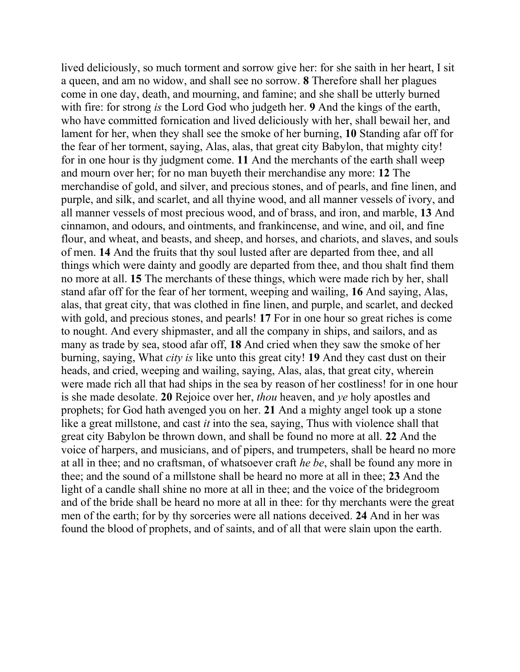lived deliciously, so much torment and sorrow give her: for she saith in her heart, I sit a queen, and am no widow, and shall see no sorrow. **8** Therefore shall her plagues come in one day, death, and mourning, and famine; and she shall be utterly burned with fire: for strong *is* the Lord God who judgeth her. **9** And the kings of the earth, who have committed fornication and lived deliciously with her, shall bewail her, and lament for her, when they shall see the smoke of her burning, **10** Standing afar off for the fear of her torment, saying, Alas, alas, that great city Babylon, that mighty city! for in one hour is thy judgment come. **11** And the merchants of the earth shall weep and mourn over her; for no man buyeth their merchandise any more: **12** The merchandise of gold, and silver, and precious stones, and of pearls, and fine linen, and purple, and silk, and scarlet, and all thyine wood, and all manner vessels of ivory, and all manner vessels of most precious wood, and of brass, and iron, and marble, **13** And cinnamon, and odours, and ointments, and frankincense, and wine, and oil, and fine flour, and wheat, and beasts, and sheep, and horses, and chariots, and slaves, and souls of men. **14** And the fruits that thy soul lusted after are departed from thee, and all things which were dainty and goodly are departed from thee, and thou shalt find them no more at all. **15** The merchants of these things, which were made rich by her, shall stand afar off for the fear of her torment, weeping and wailing, **16** And saying, Alas, alas, that great city, that was clothed in fine linen, and purple, and scarlet, and decked with gold, and precious stones, and pearls! **17** For in one hour so great riches is come to nought. And every shipmaster, and all the company in ships, and sailors, and as many as trade by sea, stood afar off, **18** And cried when they saw the smoke of her burning, saying, What *city is* like unto this great city! **19** And they cast dust on their heads, and cried, weeping and wailing, saying, Alas, alas, that great city, wherein were made rich all that had ships in the sea by reason of her costliness! for in one hour is she made desolate. **20** Rejoice over her, *thou* heaven, and *ye* holy apostles and prophets; for God hath avenged you on her. **21** And a mighty angel took up a stone like a great millstone, and cast *it* into the sea, saying, Thus with violence shall that great city Babylon be thrown down, and shall be found no more at all. **22** And the voice of harpers, and musicians, and of pipers, and trumpeters, shall be heard no more at all in thee; and no craftsman, of whatsoever craft *he be*, shall be found any more in thee; and the sound of a millstone shall be heard no more at all in thee; **23** And the light of a candle shall shine no more at all in thee; and the voice of the bridegroom and of the bride shall be heard no more at all in thee: for thy merchants were the great men of the earth; for by thy sorceries were all nations deceived. **24** And in her was found the blood of prophets, and of saints, and of all that were slain upon the earth.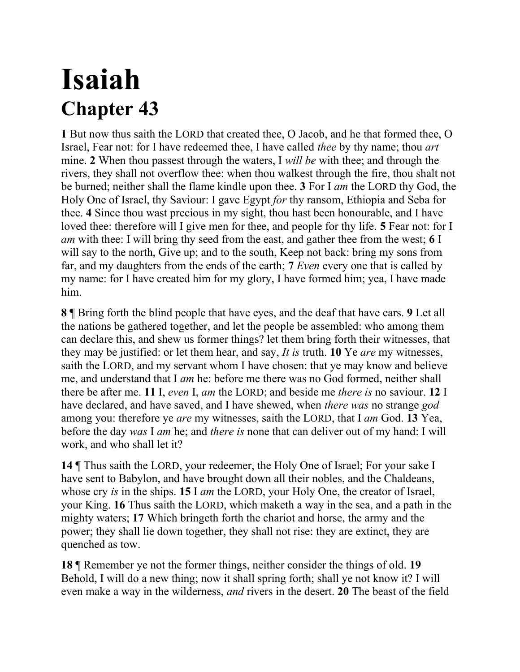## **Isaiah Chapter 43**

**1** But now thus saith the LORD that created thee, O Jacob, and he that formed thee, O Israel, Fear not: for I have redeemed thee, I have called *thee* by thy name; thou *art* mine. **2** When thou passest through the waters, I *will be* with thee; and through the rivers, they shall not overflow thee: when thou walkest through the fire, thou shalt not be burned; neither shall the flame kindle upon thee. **3** For I *am* the LORD thy God, the Holy One of Israel, thy Saviour: I gave Egypt *for* thy ransom, Ethiopia and Seba for thee. **4** Since thou wast precious in my sight, thou hast been honourable, and I have loved thee: therefore will I give men for thee, and people for thy life. **5** Fear not: for I *am* with thee: I will bring thy seed from the east, and gather thee from the west; **6** I will say to the north, Give up; and to the south, Keep not back: bring my sons from far, and my daughters from the ends of the earth; **7** *Even* every one that is called by my name: for I have created him for my glory, I have formed him; yea, I have made him.

**8** ¶ Bring forth the blind people that have eyes, and the deaf that have ears. **9** Let all the nations be gathered together, and let the people be assembled: who among them can declare this, and shew us former things? let them bring forth their witnesses, that they may be justified: or let them hear, and say, *It is* truth. **10** Ye *are* my witnesses, saith the LORD, and my servant whom I have chosen: that ye may know and believe me, and understand that I *am* he: before me there was no God formed, neither shall there be after me. **11** I, *even* I, *am* the LORD; and beside me *there is* no saviour. **12** I have declared, and have saved, and I have shewed, when *there was* no strange *god* among you: therefore ye *are* my witnesses, saith the LORD, that I *am* God. **13** Yea, before the day *was* I *am* he; and *there is* none that can deliver out of my hand: I will work, and who shall let it?

**14** ¶ Thus saith the LORD, your redeemer, the Holy One of Israel; For your sake I have sent to Babylon, and have brought down all their nobles, and the Chaldeans, whose cry *is* in the ships. **15** I *am* the LORD, your Holy One, the creator of Israel, your King. **16** Thus saith the LORD, which maketh a way in the sea, and a path in the mighty waters; **17** Which bringeth forth the chariot and horse, the army and the power; they shall lie down together, they shall not rise: they are extinct, they are quenched as tow.

**18** ¶ Remember ye not the former things, neither consider the things of old. **19**  Behold, I will do a new thing; now it shall spring forth; shall ye not know it? I will even make a way in the wilderness, *and* rivers in the desert. **20** The beast of the field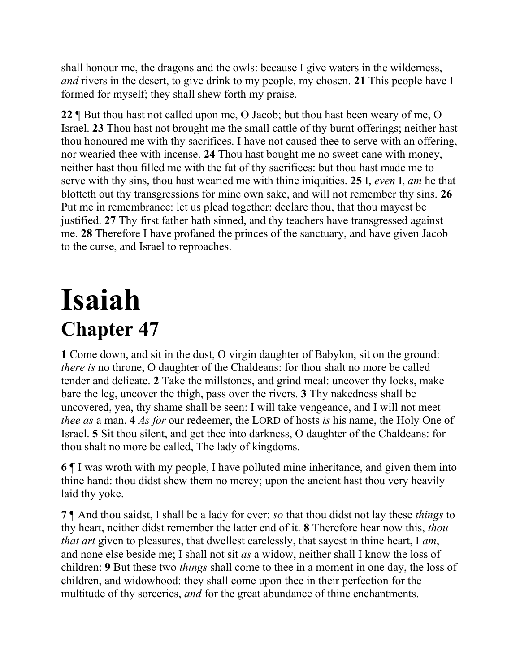shall honour me, the dragons and the owls: because I give waters in the wilderness, *and* rivers in the desert, to give drink to my people, my chosen. **21** This people have I formed for myself; they shall shew forth my praise.

**22** ¶ But thou hast not called upon me, O Jacob; but thou hast been weary of me, O Israel. **23** Thou hast not brought me the small cattle of thy burnt offerings; neither hast thou honoured me with thy sacrifices. I have not caused thee to serve with an offering, nor wearied thee with incense. **24** Thou hast bought me no sweet cane with money, neither hast thou filled me with the fat of thy sacrifices: but thou hast made me to serve with thy sins, thou hast wearied me with thine iniquities. **25** I, *even* I, *am* he that blotteth out thy transgressions for mine own sake, and will not remember thy sins. **26**  Put me in remembrance: let us plead together: declare thou, that thou mayest be justified. **27** Thy first father hath sinned, and thy teachers have transgressed against me. **28** Therefore I have profaned the princes of the sanctuary, and have given Jacob to the curse, and Israel to reproaches.

# **Isaiah Chapter 47**

**1** Come down, and sit in the dust, O virgin daughter of Babylon, sit on the ground: *there is* no throne, O daughter of the Chaldeans: for thou shalt no more be called tender and delicate. **2** Take the millstones, and grind meal: uncover thy locks, make bare the leg, uncover the thigh, pass over the rivers. **3** Thy nakedness shall be uncovered, yea, thy shame shall be seen: I will take vengeance, and I will not meet *thee as* a man. **4** *As for* our redeemer, the LORD of hosts *is* his name, the Holy One of Israel. **5** Sit thou silent, and get thee into darkness, O daughter of the Chaldeans: for thou shalt no more be called, The lady of kingdoms.

**6** ¶ I was wroth with my people, I have polluted mine inheritance, and given them into thine hand: thou didst shew them no mercy; upon the ancient hast thou very heavily laid thy yoke.

**7** ¶ And thou saidst, I shall be a lady for ever: *so* that thou didst not lay these *things* to thy heart, neither didst remember the latter end of it. **8** Therefore hear now this, *thou that art* given to pleasures, that dwellest carelessly, that sayest in thine heart, I *am*, and none else beside me; I shall not sit *as* a widow, neither shall I know the loss of children: **9** But these two *things* shall come to thee in a moment in one day, the loss of children, and widowhood: they shall come upon thee in their perfection for the multitude of thy sorceries, *and* for the great abundance of thine enchantments.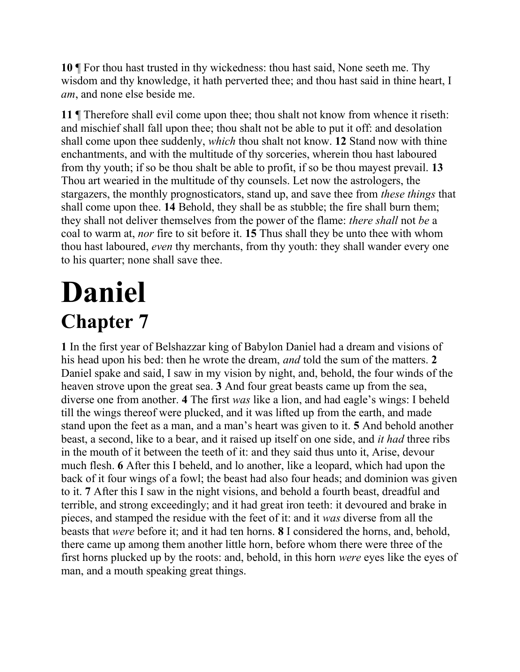**10** ¶ For thou hast trusted in thy wickedness: thou hast said, None seeth me. Thy wisdom and thy knowledge, it hath perverted thee; and thou hast said in thine heart, I *am*, and none else beside me.

**11** ¶ Therefore shall evil come upon thee; thou shalt not know from whence it riseth: and mischief shall fall upon thee; thou shalt not be able to put it off: and desolation shall come upon thee suddenly, *which* thou shalt not know. **12** Stand now with thine enchantments, and with the multitude of thy sorceries, wherein thou hast laboured from thy youth; if so be thou shalt be able to profit, if so be thou mayest prevail. **13** Thou art wearied in the multitude of thy counsels. Let now the astrologers, the stargazers, the monthly prognosticators, stand up, and save thee from *these things* that shall come upon thee. **14** Behold, they shall be as stubble; the fire shall burn them; they shall not deliver themselves from the power of the flame: *there shall* not *be* a coal to warm at, *nor* fire to sit before it. **15** Thus shall they be unto thee with whom thou hast laboured, *even* thy merchants, from thy youth: they shall wander every one to his quarter; none shall save thee.

# **Daniel Chapter 7**

**1** In the first year of Belshazzar king of Babylon Daniel had a dream and visions of his head upon his bed: then he wrote the dream, *and* told the sum of the matters. **2**  Daniel spake and said, I saw in my vision by night, and, behold, the four winds of the heaven strove upon the great sea. **3** And four great beasts came up from the sea, diverse one from another. **4** The first *was* like a lion, and had eagle's wings: I beheld till the wings thereof were plucked, and it was lifted up from the earth, and made stand upon the feet as a man, and a man's heart was given to it. **5** And behold another beast, a second, like to a bear, and it raised up itself on one side, and *it had* three ribs in the mouth of it between the teeth of it: and they said thus unto it, Arise, devour much flesh. **6** After this I beheld, and lo another, like a leopard, which had upon the back of it four wings of a fowl; the beast had also four heads; and dominion was given to it. **7** After this I saw in the night visions, and behold a fourth beast, dreadful and terrible, and strong exceedingly; and it had great iron teeth: it devoured and brake in pieces, and stamped the residue with the feet of it: and it *was* diverse from all the beasts that *were* before it; and it had ten horns. **8** I considered the horns, and, behold, there came up among them another little horn, before whom there were three of the first horns plucked up by the roots: and, behold, in this horn *were* eyes like the eyes of man, and a mouth speaking great things.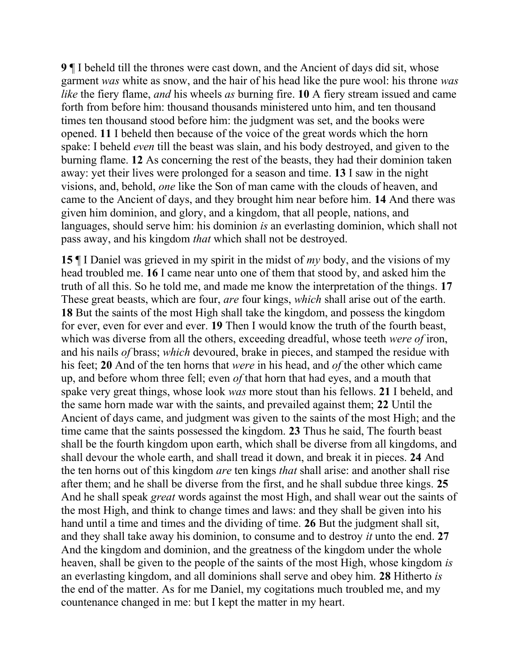**9** ¶ I beheld till the thrones were cast down, and the Ancient of days did sit, whose garment *was* white as snow, and the hair of his head like the pure wool: his throne *was like* the fiery flame, *and* his wheels *as* burning fire. **10** A fiery stream issued and came forth from before him: thousand thousands ministered unto him, and ten thousand times ten thousand stood before him: the judgment was set, and the books were opened. **11** I beheld then because of the voice of the great words which the horn spake: I beheld *even* till the beast was slain, and his body destroyed, and given to the burning flame. **12** As concerning the rest of the beasts, they had their dominion taken away: yet their lives were prolonged for a season and time. **13** I saw in the night visions, and, behold, *one* like the Son of man came with the clouds of heaven, and came to the Ancient of days, and they brought him near before him. **14** And there was given him dominion, and glory, and a kingdom, that all people, nations, and languages, should serve him: his dominion *is* an everlasting dominion, which shall not pass away, and his kingdom *that* which shall not be destroyed.

**15** ¶ I Daniel was grieved in my spirit in the midst of *my* body, and the visions of my head troubled me. **16** I came near unto one of them that stood by, and asked him the truth of all this. So he told me, and made me know the interpretation of the things. **17**  These great beasts, which are four, *are* four kings, *which* shall arise out of the earth. **18** But the saints of the most High shall take the kingdom, and possess the kingdom for ever, even for ever and ever. **19** Then I would know the truth of the fourth beast, which was diverse from all the others, exceeding dreadful, whose teeth *were of* iron, and his nails *of* brass; *which* devoured, brake in pieces, and stamped the residue with his feet; **20** And of the ten horns that *were* in his head, and *of* the other which came up, and before whom three fell; even *of* that horn that had eyes, and a mouth that spake very great things, whose look *was* more stout than his fellows. **21** I beheld, and the same horn made war with the saints, and prevailed against them; **22** Until the Ancient of days came, and judgment was given to the saints of the most High; and the time came that the saints possessed the kingdom. **23** Thus he said, The fourth beast shall be the fourth kingdom upon earth, which shall be diverse from all kingdoms, and shall devour the whole earth, and shall tread it down, and break it in pieces. **24** And the ten horns out of this kingdom *are* ten kings *that* shall arise: and another shall rise after them; and he shall be diverse from the first, and he shall subdue three kings. **25**  And he shall speak *great* words against the most High, and shall wear out the saints of the most High, and think to change times and laws: and they shall be given into his hand until a time and times and the dividing of time. **26** But the judgment shall sit, and they shall take away his dominion, to consume and to destroy *it* unto the end. **27**  And the kingdom and dominion, and the greatness of the kingdom under the whole heaven, shall be given to the people of the saints of the most High, whose kingdom *is* an everlasting kingdom, and all dominions shall serve and obey him. **28** Hitherto *is* the end of the matter. As for me Daniel, my cogitations much troubled me, and my countenance changed in me: but I kept the matter in my heart.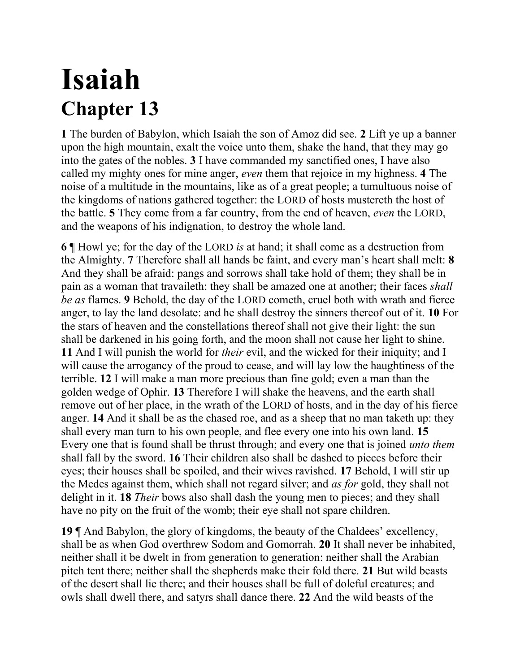# **Isaiah Chapter 13**

**1** The burden of Babylon, which Isaiah the son of Amoz did see. **2** Lift ye up a banner upon the high mountain, exalt the voice unto them, shake the hand, that they may go into the gates of the nobles. **3** I have commanded my sanctified ones, I have also called my mighty ones for mine anger, *even* them that rejoice in my highness. **4** The noise of a multitude in the mountains, like as of a great people; a tumultuous noise of the kingdoms of nations gathered together: the LORD of hosts mustereth the host of the battle. **5** They come from a far country, from the end of heaven, *even* the LORD, and the weapons of his indignation, to destroy the whole land.

**6** ¶ Howl ye; for the day of the LORD *is* at hand; it shall come as a destruction from the Almighty. **7** Therefore shall all hands be faint, and every man's heart shall melt: **8**  And they shall be afraid: pangs and sorrows shall take hold of them; they shall be in pain as a woman that travaileth: they shall be amazed one at another; their faces *shall be as* flames. **9** Behold, the day of the LORD cometh, cruel both with wrath and fierce anger, to lay the land desolate: and he shall destroy the sinners thereof out of it. **10** For the stars of heaven and the constellations thereof shall not give their light: the sun shall be darkened in his going forth, and the moon shall not cause her light to shine. **11** And I will punish the world for *their* evil, and the wicked for their iniquity; and I will cause the arrogancy of the proud to cease, and will lay low the haughtiness of the terrible. **12** I will make a man more precious than fine gold; even a man than the golden wedge of Ophir. **13** Therefore I will shake the heavens, and the earth shall remove out of her place, in the wrath of the LORD of hosts, and in the day of his fierce anger. **14** And it shall be as the chased roe, and as a sheep that no man taketh up: they shall every man turn to his own people, and flee every one into his own land. **15**  Every one that is found shall be thrust through; and every one that is joined *unto them* shall fall by the sword. **16** Their children also shall be dashed to pieces before their eyes; their houses shall be spoiled, and their wives ravished. **17** Behold, I will stir up the Medes against them, which shall not regard silver; and *as for* gold, they shall not delight in it. **18** *Their* bows also shall dash the young men to pieces; and they shall have no pity on the fruit of the womb; their eye shall not spare children.

**19** ¶ And Babylon, the glory of kingdoms, the beauty of the Chaldees' excellency, shall be as when God overthrew Sodom and Gomorrah. **20** It shall never be inhabited, neither shall it be dwelt in from generation to generation: neither shall the Arabian pitch tent there; neither shall the shepherds make their fold there. **21** But wild beasts of the desert shall lie there; and their houses shall be full of doleful creatures; and owls shall dwell there, and satyrs shall dance there. **22** And the wild beasts of the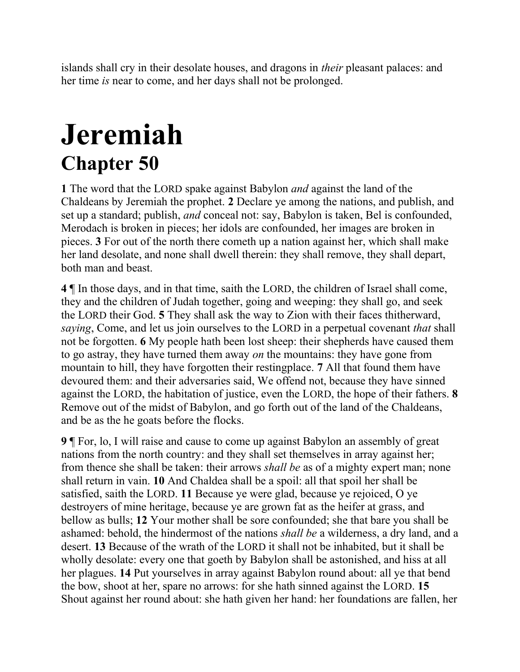islands shall cry in their desolate houses, and dragons in *their* pleasant palaces: and her time *is* near to come, and her days shall not be prolonged.

# **Jeremiah Chapter 50**

**1** The word that the LORD spake against Babylon *and* against the land of the Chaldeans by Jeremiah the prophet. **2** Declare ye among the nations, and publish, and set up a standard; publish, *and* conceal not: say, Babylon is taken, Bel is confounded, Merodach is broken in pieces; her idols are confounded, her images are broken in pieces. **3** For out of the north there cometh up a nation against her, which shall make her land desolate, and none shall dwell therein: they shall remove, they shall depart, both man and beast.

**4** ¶ In those days, and in that time, saith the LORD, the children of Israel shall come, they and the children of Judah together, going and weeping: they shall go, and seek the LORD their God. **5** They shall ask the way to Zion with their faces thitherward, *saying*, Come, and let us join ourselves to the LORD in a perpetual covenant *that* shall not be forgotten. **6** My people hath been lost sheep: their shepherds have caused them to go astray, they have turned them away *on* the mountains: they have gone from mountain to hill, they have forgotten their restingplace. **7** All that found them have devoured them: and their adversaries said, We offend not, because they have sinned against the LORD, the habitation of justice, even the LORD, the hope of their fathers. **8**  Remove out of the midst of Babylon, and go forth out of the land of the Chaldeans, and be as the he goats before the flocks.

**9** ¶ For, lo, I will raise and cause to come up against Babylon an assembly of great nations from the north country: and they shall set themselves in array against her; from thence she shall be taken: their arrows *shall be* as of a mighty expert man; none shall return in vain. **10** And Chaldea shall be a spoil: all that spoil her shall be satisfied, saith the LORD. **11** Because ye were glad, because ye rejoiced, O ye destroyers of mine heritage, because ye are grown fat as the heifer at grass, and bellow as bulls; **12** Your mother shall be sore confounded; she that bare you shall be ashamed: behold, the hindermost of the nations *shall be* a wilderness, a dry land, and a desert. **13** Because of the wrath of the LORD it shall not be inhabited, but it shall be wholly desolate: every one that goeth by Babylon shall be astonished, and hiss at all her plagues. **14** Put yourselves in array against Babylon round about: all ye that bend the bow, shoot at her, spare no arrows: for she hath sinned against the LORD. **15**  Shout against her round about: she hath given her hand: her foundations are fallen, her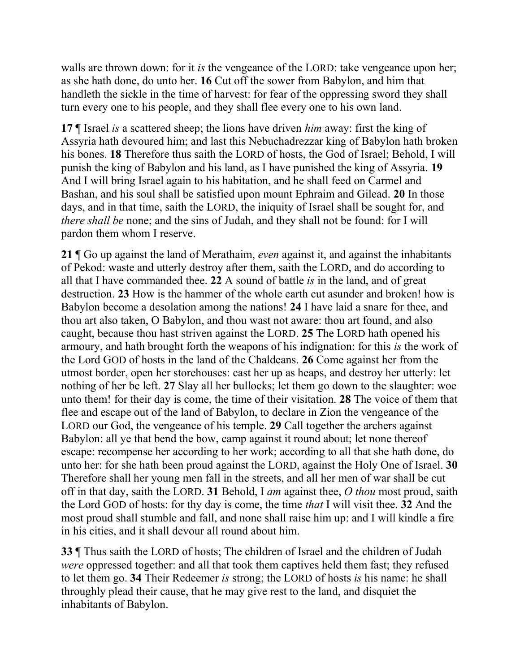walls are thrown down: for it *is* the vengeance of the LORD: take vengeance upon her; as she hath done, do unto her. **16** Cut off the sower from Babylon, and him that handleth the sickle in the time of harvest: for fear of the oppressing sword they shall turn every one to his people, and they shall flee every one to his own land.

**17** ¶ Israel *is* a scattered sheep; the lions have driven *him* away: first the king of Assyria hath devoured him; and last this Nebuchadrezzar king of Babylon hath broken his bones. **18** Therefore thus saith the LORD of hosts, the God of Israel; Behold, I will punish the king of Babylon and his land, as I have punished the king of Assyria. **19**  And I will bring Israel again to his habitation, and he shall feed on Carmel and Bashan, and his soul shall be satisfied upon mount Ephraim and Gilead. **20** In those days, and in that time, saith the LORD, the iniquity of Israel shall be sought for, and *there shall be* none; and the sins of Judah, and they shall not be found: for I will pardon them whom I reserve.

**21** ¶ Go up against the land of Merathaim, *even* against it, and against the inhabitants of Pekod: waste and utterly destroy after them, saith the LORD, and do according to all that I have commanded thee. **22** A sound of battle *is* in the land, and of great destruction. **23** How is the hammer of the whole earth cut asunder and broken! how is Babylon become a desolation among the nations! **24** I have laid a snare for thee, and thou art also taken, O Babylon, and thou wast not aware: thou art found, and also caught, because thou hast striven against the LORD. **25** The LORD hath opened his armoury, and hath brought forth the weapons of his indignation: for this *is* the work of the Lord GOD of hosts in the land of the Chaldeans. **26** Come against her from the utmost border, open her storehouses: cast her up as heaps, and destroy her utterly: let nothing of her be left. **27** Slay all her bullocks; let them go down to the slaughter: woe unto them! for their day is come, the time of their visitation. **28** The voice of them that flee and escape out of the land of Babylon, to declare in Zion the vengeance of the LORD our God, the vengeance of his temple. **29** Call together the archers against Babylon: all ye that bend the bow, camp against it round about; let none thereof escape: recompense her according to her work; according to all that she hath done, do unto her: for she hath been proud against the LORD, against the Holy One of Israel. **30**  Therefore shall her young men fall in the streets, and all her men of war shall be cut off in that day, saith the LORD. **31** Behold, I *am* against thee, *O thou* most proud, saith the Lord GOD of hosts: for thy day is come, the time *that* I will visit thee. **32** And the most proud shall stumble and fall, and none shall raise him up: and I will kindle a fire in his cities, and it shall devour all round about him.

**33** ¶ Thus saith the LORD of hosts; The children of Israel and the children of Judah *were* oppressed together: and all that took them captives held them fast; they refused to let them go. **34** Their Redeemer *is* strong; the LORD of hosts *is* his name: he shall throughly plead their cause, that he may give rest to the land, and disquiet the inhabitants of Babylon.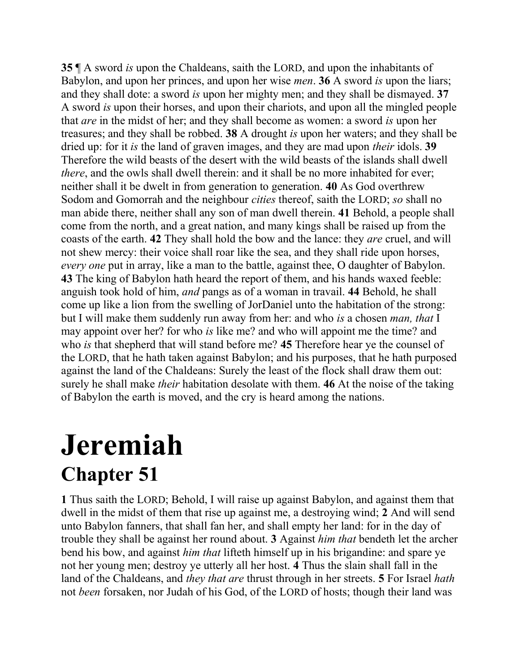**35** ¶ A sword *is* upon the Chaldeans, saith the LORD, and upon the inhabitants of Babylon, and upon her princes, and upon her wise *men*. **36** A sword *is* upon the liars; and they shall dote: a sword *is* upon her mighty men; and they shall be dismayed. **37**  A sword *is* upon their horses, and upon their chariots, and upon all the mingled people that *are* in the midst of her; and they shall become as women: a sword *is* upon her treasures; and they shall be robbed. **38** A drought *is* upon her waters; and they shall be dried up: for it *is* the land of graven images, and they are mad upon *their* idols. **39**  Therefore the wild beasts of the desert with the wild beasts of the islands shall dwell *there*, and the owls shall dwell therein; and it shall be no more inhabited for ever; neither shall it be dwelt in from generation to generation. **40** As God overthrew Sodom and Gomorrah and the neighbour *cities* thereof, saith the LORD; *so* shall no man abide there, neither shall any son of man dwell therein. **41** Behold, a people shall come from the north, and a great nation, and many kings shall be raised up from the coasts of the earth. **42** They shall hold the bow and the lance: they *are* cruel, and will not shew mercy: their voice shall roar like the sea, and they shall ride upon horses, *every one* put in array, like a man to the battle, against thee, O daughter of Babylon. **43** The king of Babylon hath heard the report of them, and his hands waxed feeble: anguish took hold of him, *and* pangs as of a woman in travail. **44** Behold, he shall come up like a lion from the swelling of JorDaniel unto the habitation of the strong: but I will make them suddenly run away from her: and who *is* a chosen *man, that* I may appoint over her? for who *is* like me? and who will appoint me the time? and who *is* that shepherd that will stand before me? **45** Therefore hear ye the counsel of the LORD, that he hath taken against Babylon; and his purposes, that he hath purposed against the land of the Chaldeans: Surely the least of the flock shall draw them out: surely he shall make *their* habitation desolate with them. **46** At the noise of the taking of Babylon the earth is moved, and the cry is heard among the nations.

#### **Jeremiah Chapter 51**

**1** Thus saith the LORD; Behold, I will raise up against Babylon, and against them that dwell in the midst of them that rise up against me, a destroying wind; **2** And will send unto Babylon fanners, that shall fan her, and shall empty her land: for in the day of trouble they shall be against her round about. **3** Against *him that* bendeth let the archer bend his bow, and against *him that* lifteth himself up in his brigandine: and spare ye not her young men; destroy ye utterly all her host. **4** Thus the slain shall fall in the land of the Chaldeans, and *they that are* thrust through in her streets. **5** For Israel *hath* not *been* forsaken, nor Judah of his God, of the LORD of hosts; though their land was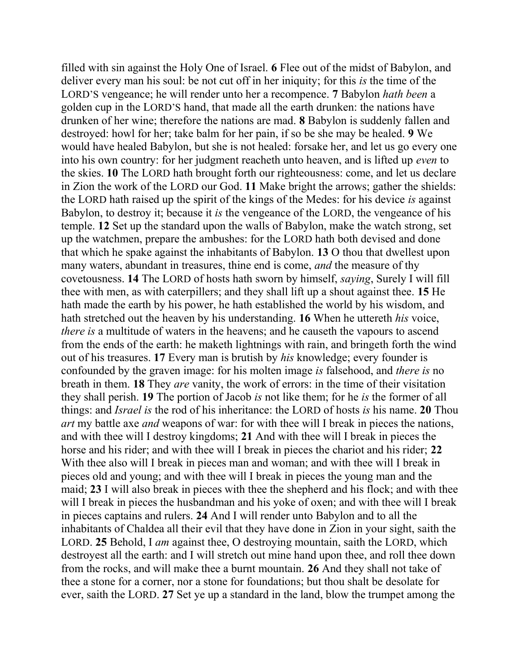filled with sin against the Holy One of Israel. **6** Flee out of the midst of Babylon, and deliver every man his soul: be not cut off in her iniquity; for this *is* the time of the LORD'S vengeance; he will render unto her a recompence. **7** Babylon *hath been* a golden cup in the LORD'S hand, that made all the earth drunken: the nations have drunken of her wine; therefore the nations are mad. **8** Babylon is suddenly fallen and destroyed: howl for her; take balm for her pain, if so be she may be healed. **9** We would have healed Babylon, but she is not healed: forsake her, and let us go every one into his own country: for her judgment reacheth unto heaven, and is lifted up *even* to the skies. **10** The LORD hath brought forth our righteousness: come, and let us declare in Zion the work of the LORD our God. **11** Make bright the arrows; gather the shields: the LORD hath raised up the spirit of the kings of the Medes: for his device *is* against Babylon, to destroy it; because it *is* the vengeance of the LORD, the vengeance of his temple. **12** Set up the standard upon the walls of Babylon, make the watch strong, set up the watchmen, prepare the ambushes: for the LORD hath both devised and done that which he spake against the inhabitants of Babylon. **13** O thou that dwellest upon many waters, abundant in treasures, thine end is come, *and* the measure of thy covetousness. **14** The LORD of hosts hath sworn by himself, *saying*, Surely I will fill thee with men, as with caterpillers; and they shall lift up a shout against thee. **15** He hath made the earth by his power, he hath established the world by his wisdom, and hath stretched out the heaven by his understanding. **16** When he uttereth *his* voice, *there is* a multitude of waters in the heavens; and he causeth the vapours to ascend from the ends of the earth: he maketh lightnings with rain, and bringeth forth the wind out of his treasures. **17** Every man is brutish by *his* knowledge; every founder is confounded by the graven image: for his molten image *is* falsehood, and *there is* no breath in them. **18** They *are* vanity, the work of errors: in the time of their visitation they shall perish. **19** The portion of Jacob *is* not like them; for he *is* the former of all things: and *Israel is* the rod of his inheritance: the LORD of hosts *is* his name. **20** Thou *art* my battle axe *and* weapons of war: for with thee will I break in pieces the nations, and with thee will I destroy kingdoms; **21** And with thee will I break in pieces the horse and his rider; and with thee will I break in pieces the chariot and his rider; **22**  With thee also will I break in pieces man and woman; and with thee will I break in pieces old and young; and with thee will I break in pieces the young man and the maid; **23** I will also break in pieces with thee the shepherd and his flock; and with thee will I break in pieces the husbandman and his yoke of oxen; and with thee will I break in pieces captains and rulers. **24** And I will render unto Babylon and to all the inhabitants of Chaldea all their evil that they have done in Zion in your sight, saith the LORD. **25** Behold, I *am* against thee, O destroying mountain, saith the LORD, which destroyest all the earth: and I will stretch out mine hand upon thee, and roll thee down from the rocks, and will make thee a burnt mountain. **26** And they shall not take of thee a stone for a corner, nor a stone for foundations; but thou shalt be desolate for ever, saith the LORD. **27** Set ye up a standard in the land, blow the trumpet among the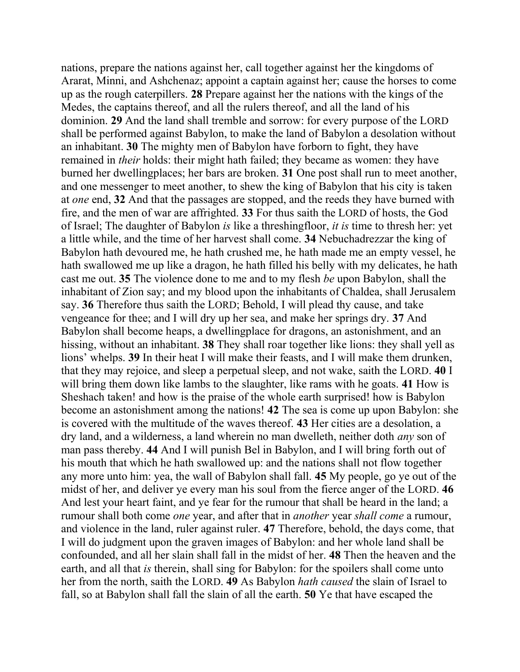nations, prepare the nations against her, call together against her the kingdoms of Ararat, Minni, and Ashchenaz; appoint a captain against her; cause the horses to come up as the rough caterpillers. **28** Prepare against her the nations with the kings of the Medes, the captains thereof, and all the rulers thereof, and all the land of his dominion. **29** And the land shall tremble and sorrow: for every purpose of the LORD shall be performed against Babylon, to make the land of Babylon a desolation without an inhabitant. **30** The mighty men of Babylon have forborn to fight, they have remained in *their* holds: their might hath failed; they became as women: they have burned her dwellingplaces; her bars are broken. **31** One post shall run to meet another, and one messenger to meet another, to shew the king of Babylon that his city is taken at *one* end, **32** And that the passages are stopped, and the reeds they have burned with fire, and the men of war are affrighted. **33** For thus saith the LORD of hosts, the God of Israel; The daughter of Babylon *is* like a threshingfloor, *it is* time to thresh her: yet a little while, and the time of her harvest shall come. **34** Nebuchadrezzar the king of Babylon hath devoured me, he hath crushed me, he hath made me an empty vessel, he hath swallowed me up like a dragon, he hath filled his belly with my delicates, he hath cast me out. **35** The violence done to me and to my flesh *be* upon Babylon, shall the inhabitant of Zion say; and my blood upon the inhabitants of Chaldea, shall Jerusalem say. **36** Therefore thus saith the LORD; Behold, I will plead thy cause, and take vengeance for thee; and I will dry up her sea, and make her springs dry. **37** And Babylon shall become heaps, a dwellingplace for dragons, an astonishment, and an hissing, without an inhabitant. **38** They shall roar together like lions: they shall yell as lions' whelps. **39** In their heat I will make their feasts, and I will make them drunken, that they may rejoice, and sleep a perpetual sleep, and not wake, saith the LORD. **40** I will bring them down like lambs to the slaughter, like rams with he goats. **41** How is Sheshach taken! and how is the praise of the whole earth surprised! how is Babylon become an astonishment among the nations! **42** The sea is come up upon Babylon: she is covered with the multitude of the waves thereof. **43** Her cities are a desolation, a dry land, and a wilderness, a land wherein no man dwelleth, neither doth *any* son of man pass thereby. **44** And I will punish Bel in Babylon, and I will bring forth out of his mouth that which he hath swallowed up: and the nations shall not flow together any more unto him: yea, the wall of Babylon shall fall. **45** My people, go ye out of the midst of her, and deliver ye every man his soul from the fierce anger of the LORD. **46**  And lest your heart faint, and ye fear for the rumour that shall be heard in the land; a rumour shall both come *one* year, and after that in *another* year *shall come* a rumour, and violence in the land, ruler against ruler. **47** Therefore, behold, the days come, that I will do judgment upon the graven images of Babylon: and her whole land shall be confounded, and all her slain shall fall in the midst of her. **48** Then the heaven and the earth, and all that *is* therein, shall sing for Babylon: for the spoilers shall come unto her from the north, saith the LORD. **49** As Babylon *hath caused* the slain of Israel to fall, so at Babylon shall fall the slain of all the earth. **50** Ye that have escaped the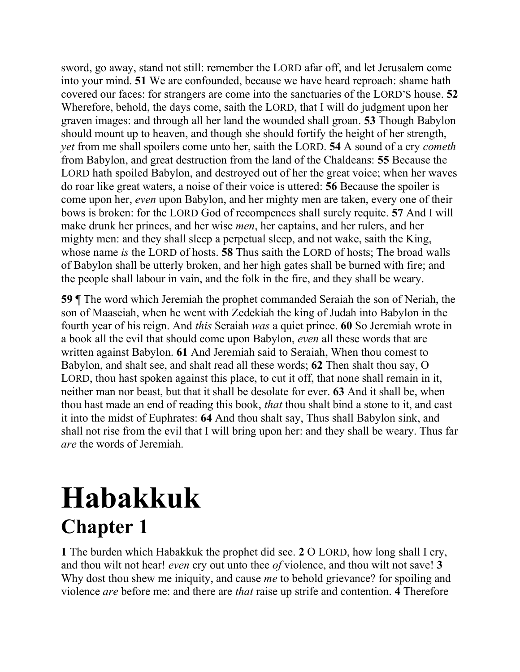sword, go away, stand not still: remember the LORD afar off, and let Jerusalem come into your mind. **51** We are confounded, because we have heard reproach: shame hath covered our faces: for strangers are come into the sanctuaries of the LORD'S house. **52**  Wherefore, behold, the days come, saith the LORD, that I will do judgment upon her graven images: and through all her land the wounded shall groan. **53** Though Babylon should mount up to heaven, and though she should fortify the height of her strength, *yet* from me shall spoilers come unto her, saith the LORD. **54** A sound of a cry *cometh* from Babylon, and great destruction from the land of the Chaldeans: **55** Because the LORD hath spoiled Babylon, and destroyed out of her the great voice; when her waves do roar like great waters, a noise of their voice is uttered: **56** Because the spoiler is come upon her, *even* upon Babylon, and her mighty men are taken, every one of their bows is broken: for the LORD God of recompences shall surely requite. **57** And I will make drunk her princes, and her wise *men*, her captains, and her rulers, and her mighty men: and they shall sleep a perpetual sleep, and not wake, saith the King, whose name *is* the LORD of hosts. **58** Thus saith the LORD of hosts; The broad walls of Babylon shall be utterly broken, and her high gates shall be burned with fire; and the people shall labour in vain, and the folk in the fire, and they shall be weary.

**59** ¶ The word which Jeremiah the prophet commanded Seraiah the son of Neriah, the son of Maaseiah, when he went with Zedekiah the king of Judah into Babylon in the fourth year of his reign. And *this* Seraiah *was* a quiet prince. **60** So Jeremiah wrote in a book all the evil that should come upon Babylon, *even* all these words that are written against Babylon. **61** And Jeremiah said to Seraiah, When thou comest to Babylon, and shalt see, and shalt read all these words; **62** Then shalt thou say, O LORD, thou hast spoken against this place, to cut it off, that none shall remain in it, neither man nor beast, but that it shall be desolate for ever. **63** And it shall be, when thou hast made an end of reading this book, *that* thou shalt bind a stone to it, and cast it into the midst of Euphrates: **64** And thou shalt say, Thus shall Babylon sink, and shall not rise from the evil that I will bring upon her: and they shall be weary. Thus far *are* the words of Jeremiah.

#### **Habakkuk Chapter 1**

**1** The burden which Habakkuk the prophet did see. **2** O LORD, how long shall I cry, and thou wilt not hear! *even* cry out unto thee *of* violence, and thou wilt not save! **3**  Why dost thou shew me iniquity, and cause *me* to behold grievance? for spoiling and violence *are* before me: and there are *that* raise up strife and contention. **4** Therefore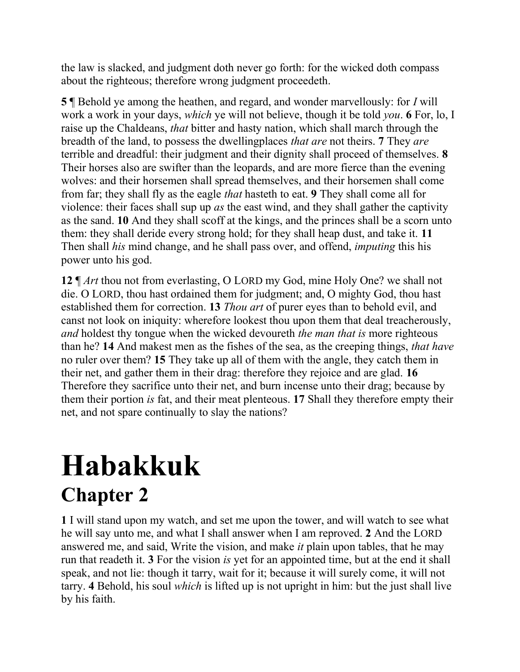the law is slacked, and judgment doth never go forth: for the wicked doth compass about the righteous; therefore wrong judgment proceedeth.

**5** ¶ Behold ye among the heathen, and regard, and wonder marvellously: for *I* will work a work in your days, *which* ye will not believe, though it be told *you*. **6** For, lo, I raise up the Chaldeans, *that* bitter and hasty nation, which shall march through the breadth of the land, to possess the dwellingplaces *that are* not theirs. **7** They *are* terrible and dreadful: their judgment and their dignity shall proceed of themselves. **8**  Their horses also are swifter than the leopards, and are more fierce than the evening wolves: and their horsemen shall spread themselves, and their horsemen shall come from far; they shall fly as the eagle *that* hasteth to eat. **9** They shall come all for violence: their faces shall sup up *as* the east wind, and they shall gather the captivity as the sand. **10** And they shall scoff at the kings, and the princes shall be a scorn unto them: they shall deride every strong hold; for they shall heap dust, and take it. **11**  Then shall *his* mind change, and he shall pass over, and offend, *imputing* this his power unto his god.

**12** ¶ *Art* thou not from everlasting, O LORD my God, mine Holy One? we shall not die. O LORD, thou hast ordained them for judgment; and, O mighty God, thou hast established them for correction. **13** *Thou art* of purer eyes than to behold evil, and canst not look on iniquity: wherefore lookest thou upon them that deal treacherously, *and* holdest thy tongue when the wicked devoureth *the man that is* more righteous than he? **14** And makest men as the fishes of the sea, as the creeping things, *that have* no ruler over them? **15** They take up all of them with the angle, they catch them in their net, and gather them in their drag: therefore they rejoice and are glad. **16**  Therefore they sacrifice unto their net, and burn incense unto their drag; because by them their portion *is* fat, and their meat plenteous. **17** Shall they therefore empty their net, and not spare continually to slay the nations?

### **Habakkuk Chapter 2**

**1** I will stand upon my watch, and set me upon the tower, and will watch to see what he will say unto me, and what I shall answer when I am reproved. **2** And the LORD answered me, and said, Write the vision, and make *it* plain upon tables, that he may run that readeth it. **3** For the vision *is* yet for an appointed time, but at the end it shall speak, and not lie: though it tarry, wait for it; because it will surely come, it will not tarry. **4** Behold, his soul *which* is lifted up is not upright in him: but the just shall live by his faith.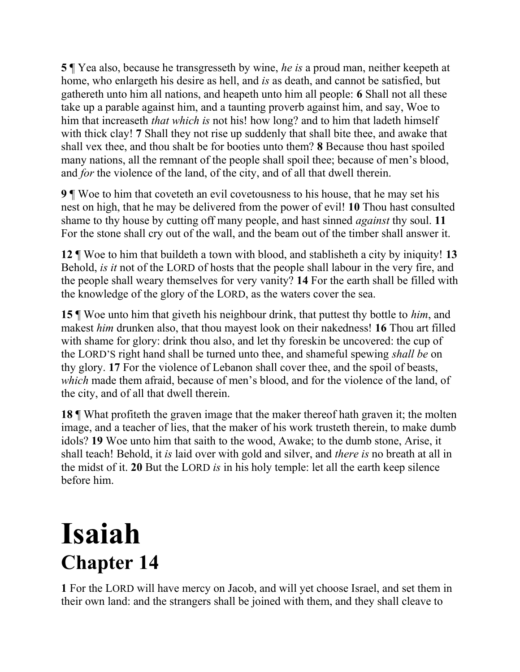**5** ¶ Yea also, because he transgresseth by wine, *he is* a proud man, neither keepeth at home, who enlargeth his desire as hell, and *is* as death, and cannot be satisfied, but gathereth unto him all nations, and heapeth unto him all people: **6** Shall not all these take up a parable against him, and a taunting proverb against him, and say, Woe to him that increaseth *that which is* not his! how long? and to him that ladeth himself with thick clay! **7** Shall they not rise up suddenly that shall bite thee, and awake that shall vex thee, and thou shalt be for booties unto them? **8** Because thou hast spoiled many nations, all the remnant of the people shall spoil thee; because of men's blood, and *for* the violence of the land, of the city, and of all that dwell therein.

**9** ¶ Woe to him that coveteth an evil covetousness to his house, that he may set his nest on high, that he may be delivered from the power of evil! **10** Thou hast consulted shame to thy house by cutting off many people, and hast sinned *against* thy soul. **11**  For the stone shall cry out of the wall, and the beam out of the timber shall answer it.

**12** ¶ Woe to him that buildeth a town with blood, and stablisheth a city by iniquity! **13**  Behold, *is it* not of the LORD of hosts that the people shall labour in the very fire, and the people shall weary themselves for very vanity? **14** For the earth shall be filled with the knowledge of the glory of the LORD, as the waters cover the sea.

**15** ¶ Woe unto him that giveth his neighbour drink, that puttest thy bottle to *him*, and makest *him* drunken also, that thou mayest look on their nakedness! **16** Thou art filled with shame for glory: drink thou also, and let thy foreskin be uncovered: the cup of the LORD'S right hand shall be turned unto thee, and shameful spewing *shall be* on thy glory. **17** For the violence of Lebanon shall cover thee, and the spoil of beasts, *which* made them afraid, because of men's blood, and for the violence of the land, of the city, and of all that dwell therein.

**18** ¶ What profiteth the graven image that the maker thereof hath graven it; the molten image, and a teacher of lies, that the maker of his work trusteth therein, to make dumb idols? **19** Woe unto him that saith to the wood, Awake; to the dumb stone, Arise, it shall teach! Behold, it *is* laid over with gold and silver, and *there is* no breath at all in the midst of it. **20** But the LORD *is* in his holy temple: let all the earth keep silence before him.

### **Isaiah Chapter 14**

**1** For the LORD will have mercy on Jacob, and will yet choose Israel, and set them in their own land: and the strangers shall be joined with them, and they shall cleave to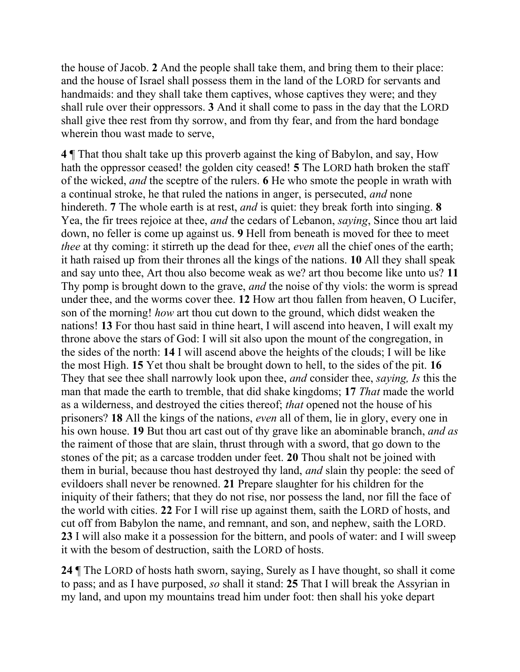the house of Jacob. **2** And the people shall take them, and bring them to their place: and the house of Israel shall possess them in the land of the LORD for servants and handmaids: and they shall take them captives, whose captives they were; and they shall rule over their oppressors. **3** And it shall come to pass in the day that the LORD shall give thee rest from thy sorrow, and from thy fear, and from the hard bondage wherein thou wast made to serve,

**4** ¶ That thou shalt take up this proverb against the king of Babylon, and say, How hath the oppressor ceased! the golden city ceased! **5** The LORD hath broken the staff of the wicked, *and* the sceptre of the rulers. **6** He who smote the people in wrath with a continual stroke, he that ruled the nations in anger, is persecuted, *and* none hindereth. **7** The whole earth is at rest, *and* is quiet: they break forth into singing. **8**  Yea, the fir trees rejoice at thee, *and* the cedars of Lebanon, *saying*, Since thou art laid down, no feller is come up against us. **9** Hell from beneath is moved for thee to meet *thee* at thy coming: it stirreth up the dead for thee, *even* all the chief ones of the earth; it hath raised up from their thrones all the kings of the nations. **10** All they shall speak and say unto thee, Art thou also become weak as we? art thou become like unto us? **11** Thy pomp is brought down to the grave, *and* the noise of thy viols: the worm is spread under thee, and the worms cover thee. **12** How art thou fallen from heaven, O Lucifer, son of the morning! *how* art thou cut down to the ground, which didst weaken the nations! **13** For thou hast said in thine heart, I will ascend into heaven, I will exalt my throne above the stars of God: I will sit also upon the mount of the congregation, in the sides of the north: **14** I will ascend above the heights of the clouds; I will be like the most High. **15** Yet thou shalt be brought down to hell, to the sides of the pit. **16**  They that see thee shall narrowly look upon thee, *and* consider thee, *saying, Is* this the man that made the earth to tremble, that did shake kingdoms; **17** *That* made the world as a wilderness, and destroyed the cities thereof; *that* opened not the house of his prisoners? **18** All the kings of the nations, *even* all of them, lie in glory, every one in his own house. **19** But thou art cast out of thy grave like an abominable branch, *and as* the raiment of those that are slain, thrust through with a sword, that go down to the stones of the pit; as a carcase trodden under feet. **20** Thou shalt not be joined with them in burial, because thou hast destroyed thy land, *and* slain thy people: the seed of evildoers shall never be renowned. **21** Prepare slaughter for his children for the iniquity of their fathers; that they do not rise, nor possess the land, nor fill the face of the world with cities. **22** For I will rise up against them, saith the LORD of hosts, and cut off from Babylon the name, and remnant, and son, and nephew, saith the LORD. **23** I will also make it a possession for the bittern, and pools of water: and I will sweep it with the besom of destruction, saith the LORD of hosts.

**24** ¶ The LORD of hosts hath sworn, saying, Surely as I have thought, so shall it come to pass; and as I have purposed, *so* shall it stand: **25** That I will break the Assyrian in my land, and upon my mountains tread him under foot: then shall his yoke depart